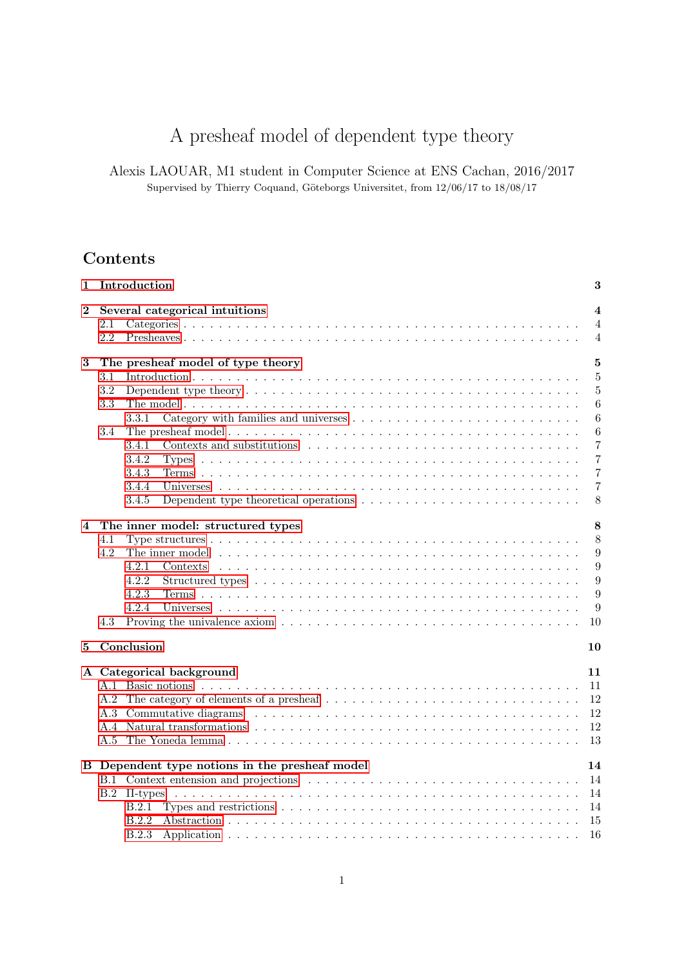# A presheaf model of dependent type theory

Alexis LAOUAR, M1 student in Computer Science at ENS Cachan, 2016/2017 Supervised by Thierry Coquand, Göteborgs Universitet, from  $12/06/17$  to  $18/08/17$ 

# Contents

| $\mathbf{1}$ | Introduction                                                                                                              | 3                       |
|--------------|---------------------------------------------------------------------------------------------------------------------------|-------------------------|
| $\bf{2}$     | Several categorical intuitions                                                                                            | $\overline{\mathbf{4}}$ |
|              | 2.1                                                                                                                       | $\overline{4}$          |
|              | 2.2                                                                                                                       | $\overline{4}$          |
| 3            | The presheaf model of type theory                                                                                         | 5                       |
|              | 3.1                                                                                                                       | $\overline{5}$          |
|              | $3.2\,$                                                                                                                   | 5                       |
|              | 3.3                                                                                                                       | 6                       |
|              | 3.3.1                                                                                                                     | 6                       |
|              | 3.4                                                                                                                       | 6                       |
|              | 3.4.1                                                                                                                     | $\overline{7}$          |
|              | 3.4.2                                                                                                                     | 7                       |
|              | 3.4.3                                                                                                                     | 7                       |
|              | 3.4.4                                                                                                                     | 7                       |
|              | Dependent type theoretical operations $\dots \dots \dots \dots \dots \dots \dots \dots \dots \dots$<br>3.4.5              | 8                       |
| 4            | The inner model: structured types                                                                                         | 8                       |
|              | 4.1                                                                                                                       | 8                       |
|              | 4.2                                                                                                                       | 9                       |
|              | 4.2.1                                                                                                                     | 9                       |
|              | 4.2.2                                                                                                                     | 9                       |
|              | 4.2.3                                                                                                                     | 9                       |
|              | 4.2.4                                                                                                                     | 9                       |
|              | Proving the univalence axiom $\dots \dots \dots \dots \dots \dots \dots \dots \dots \dots \dots \dots \dots \dots$<br>4.3 | 10                      |
|              |                                                                                                                           |                         |
| 5            | Conclusion                                                                                                                | 10                      |
|              | A Categorical background                                                                                                  | 11                      |
|              | A 1                                                                                                                       | 11                      |
|              | A.2                                                                                                                       | 12                      |
|              |                                                                                                                           | 12                      |
|              |                                                                                                                           | 12                      |
|              | A.5                                                                                                                       | 13                      |
|              | B Dependent type notions in the presheaf model                                                                            | 14                      |
|              |                                                                                                                           | 14                      |
|              | B.2                                                                                                                       | 14                      |
|              | B.2.1                                                                                                                     | 14                      |
|              | B.2.2                                                                                                                     | 15                      |
|              | <b>B.2.3</b>                                                                                                              | 16                      |
|              |                                                                                                                           |                         |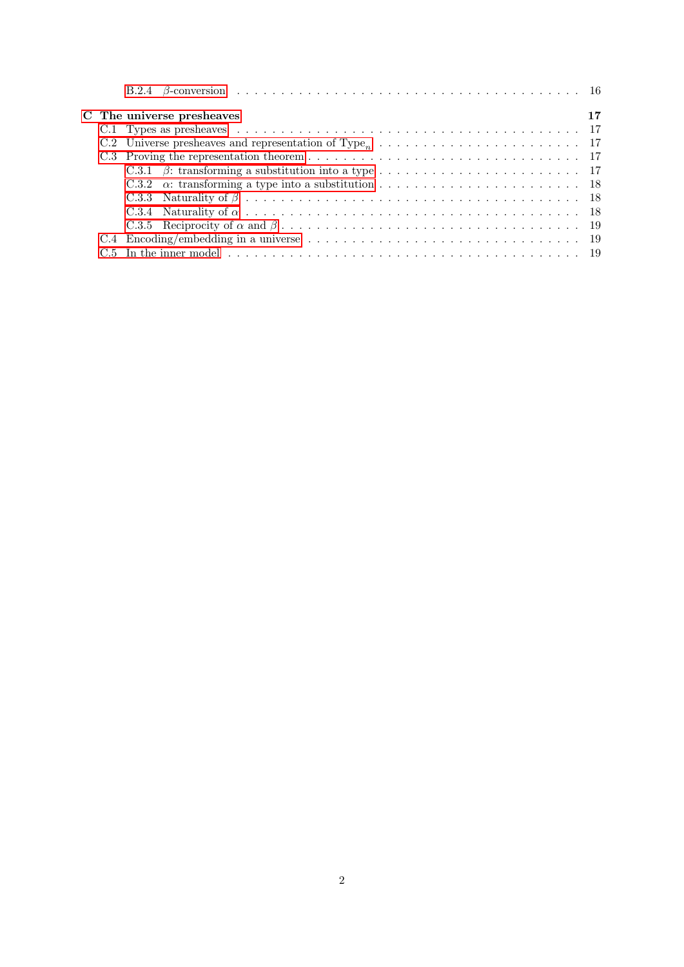|  | C The universe presheaves | 17 |
|--|---------------------------|----|
|  |                           |    |
|  |                           |    |
|  |                           |    |
|  |                           |    |
|  |                           |    |
|  |                           |    |
|  |                           |    |
|  |                           |    |
|  |                           |    |
|  |                           |    |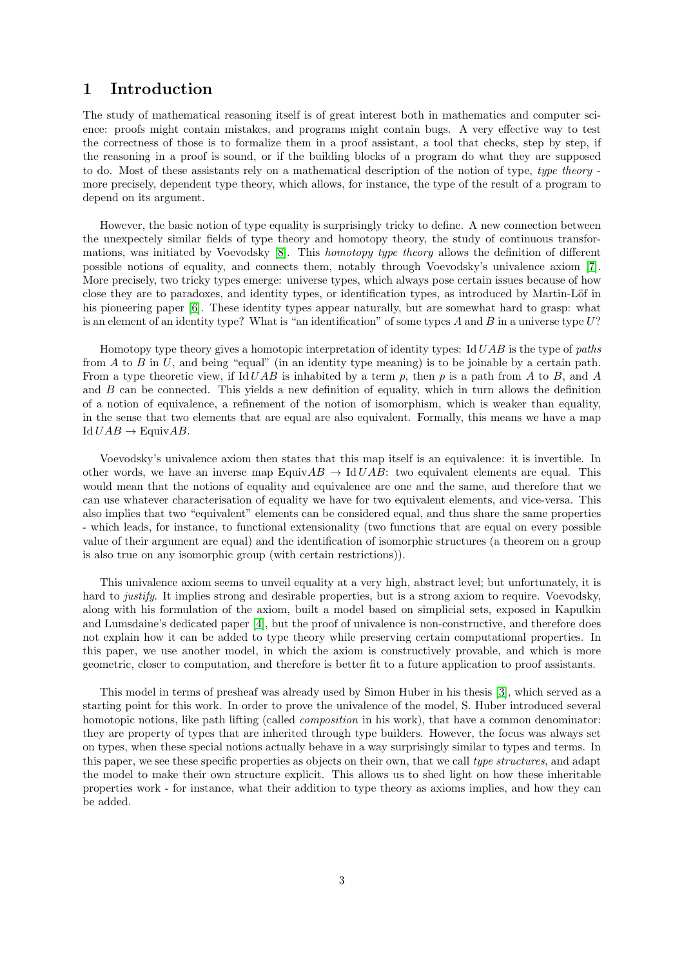# <span id="page-2-0"></span>1 Introduction

The study of mathematical reasoning itself is of great interest both in mathematics and computer science: proofs might contain mistakes, and programs might contain bugs. A very effective way to test the correctness of those is to formalize them in a proof assistant, a tool that checks, step by step, if the reasoning in a proof is sound, or if the building blocks of a program do what they are supposed to do. Most of these assistants rely on a mathematical description of the notion of type, type theory more precisely, dependent type theory, which allows, for instance, the type of the result of a program to depend on its argument.

However, the basic notion of type equality is surprisingly tricky to define. A new connection between the unexpectely similar fields of type theory and homotopy theory, the study of continuous transformations, was initiated by Voevodsky [\[8\]](#page-20-0). This homotopy type theory allows the definition of different possible notions of equality, and connects them, notably through Voevodsky's univalence axiom [\[7\]](#page-20-1). More precisely, two tricky types emerge: universe types, which always pose certain issues because of how close they are to paradoxes, and identity types, or identification types, as introduced by Martin-Löf in his pioneering paper [\[6\]](#page-20-2). These identity types appear naturally, but are somewhat hard to grasp: what is an element of an identity type? What is "an identification" of some types  $A$  and  $B$  in a universe type  $U$ ?

Homotopy type theory gives a homotopic interpretation of identity types: Id UAB is the type of paths from A to B in U, and being "equal" (in an identity type meaning) is to be joinable by a certain path. From a type theoretic view, if Id  $UAB$  is inhabited by a term p, then p is a path from A to B, and A and  $B$  can be connected. This yields a new definition of equality, which in turn allows the definition of a notion of equivalence, a refinement of the notion of isomorphism, which is weaker than equality, in the sense that two elements that are equal are also equivalent. Formally, this means we have a map Id  $UAB \rightarrow$  EquivAB.

Voevodsky's univalence axiom then states that this map itself is an equivalence: it is invertible. In other words, we have an inverse map EquivAB  $\rightarrow$  IdUAB: two equivalent elements are equal. This would mean that the notions of equality and equivalence are one and the same, and therefore that we can use whatever characterisation of equality we have for two equivalent elements, and vice-versa. This also implies that two "equivalent" elements can be considered equal, and thus share the same properties - which leads, for instance, to functional extensionality (two functions that are equal on every possible value of their argument are equal) and the identification of isomorphic structures (a theorem on a group is also true on any isomorphic group (with certain restrictions)).

This univalence axiom seems to unveil equality at a very high, abstract level; but unfortunately, it is hard to *justify*. It implies strong and desirable properties, but is a strong axiom to require. Voevodsky, along with his formulation of the axiom, built a model based on simplicial sets, exposed in Kapulkin and Lumsdaine's dedicated paper [\[4\]](#page-20-3), but the proof of univalence is non-constructive, and therefore does not explain how it can be added to type theory while preserving certain computational properties. In this paper, we use another model, in which the axiom is constructively provable, and which is more geometric, closer to computation, and therefore is better fit to a future application to proof assistants.

This model in terms of presheaf was already used by Simon Huber in his thesis [\[3\]](#page-20-4), which served as a starting point for this work. In order to prove the univalence of the model, S. Huber introduced several homotopic notions, like path lifting (called *composition* in his work), that have a common denominator: they are property of types that are inherited through type builders. However, the focus was always set on types, when these special notions actually behave in a way surprisingly similar to types and terms. In this paper, we see these specific properties as objects on their own, that we call type structures, and adapt the model to make their own structure explicit. This allows us to shed light on how these inheritable properties work - for instance, what their addition to type theory as axioms implies, and how they can be added.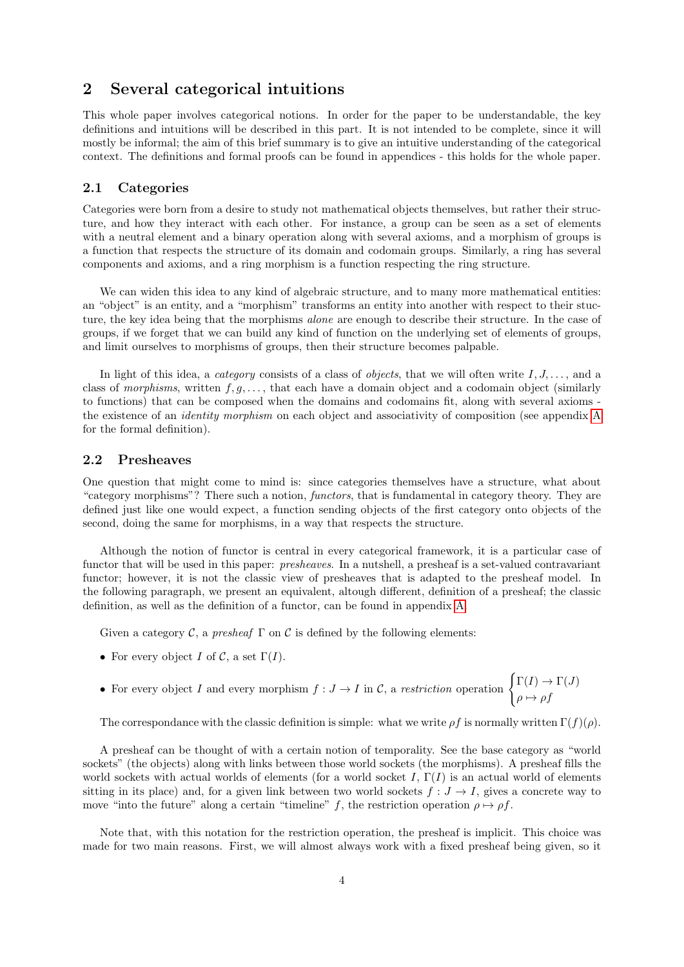# <span id="page-3-0"></span>2 Several categorical intuitions

This whole paper involves categorical notions. In order for the paper to be understandable, the key definitions and intuitions will be described in this part. It is not intended to be complete, since it will mostly be informal; the aim of this brief summary is to give an intuitive understanding of the categorical context. The definitions and formal proofs can be found in appendices - this holds for the whole paper.

# <span id="page-3-1"></span>2.1 Categories

Categories were born from a desire to study not mathematical objects themselves, but rather their structure, and how they interact with each other. For instance, a group can be seen as a set of elements with a neutral element and a binary operation along with several axioms, and a morphism of groups is a function that respects the structure of its domain and codomain groups. Similarly, a ring has several components and axioms, and a ring morphism is a function respecting the ring structure.

We can widen this idea to any kind of algebraic structure, and to many more mathematical entities: an "object" is an entity, and a "morphism" transforms an entity into another with respect to their stucture, the key idea being that the morphisms *alone* are enough to describe their structure. In the case of groups, if we forget that we can build any kind of function on the underlying set of elements of groups, and limit ourselves to morphisms of groups, then their structure becomes palpable.

In light of this idea, a *category* consists of a class of *objects*, that we will often write  $I, J, \ldots$ , and a class of morphisms, written  $f, g, \ldots$ , that each have a domain object and a codomain object (similarly to functions) that can be composed when the domains and codomains fit, along with several axioms the existence of an identity morphism on each object and associativity of composition (see appendix [A](#page-10-0) for the formal definition).

### <span id="page-3-2"></span>2.2 Presheaves

One question that might come to mind is: since categories themselves have a structure, what about "category morphisms"? There such a notion, functors, that is fundamental in category theory. They are defined just like one would expect, a function sending objects of the first category onto objects of the second, doing the same for morphisms, in a way that respects the structure.

Although the notion of functor is central in every categorical framework, it is a particular case of functor that will be used in this paper: *presheaves*. In a nutshell, a presheaf is a set-valued contravariant functor; however, it is not the classic view of presheaves that is adapted to the presheaf model. In the following paragraph, we present an equivalent, altough different, definition of a presheaf; the classic definition, as well as the definition of a functor, can be found in appendix [A.](#page-10-0)

Given a category C, a presheaf  $\Gamma$  on C is defined by the following elements:

- For every object I of C, a set  $\Gamma(I)$ .
- For every object I and every morphism  $f: J \to I$  in C, a restriction operation  $\int_{I} \Gamma(I) \to \Gamma(J)$  $\rho \mapsto \rho f$

The correspondance with the classic definition is simple: what we write  $\rho f$  is normally written  $\Gamma(f)(\rho)$ .

A presheaf can be thought of with a certain notion of temporality. See the base category as "world sockets" (the objects) along with links between those world sockets (the morphisms). A presheaf fills the world sockets with actual worlds of elements (for a world socket I,  $\Gamma(I)$ ) is an actual world of elements sitting in its place) and, for a given link between two world sockets  $f : J \to I$ , gives a concrete way to move "into the future" along a certain "timeline" f, the restriction operation  $\rho \mapsto \rho f$ .

Note that, with this notation for the restriction operation, the presheaf is implicit. This choice was made for two main reasons. First, we will almost always work with a fixed presheaf being given, so it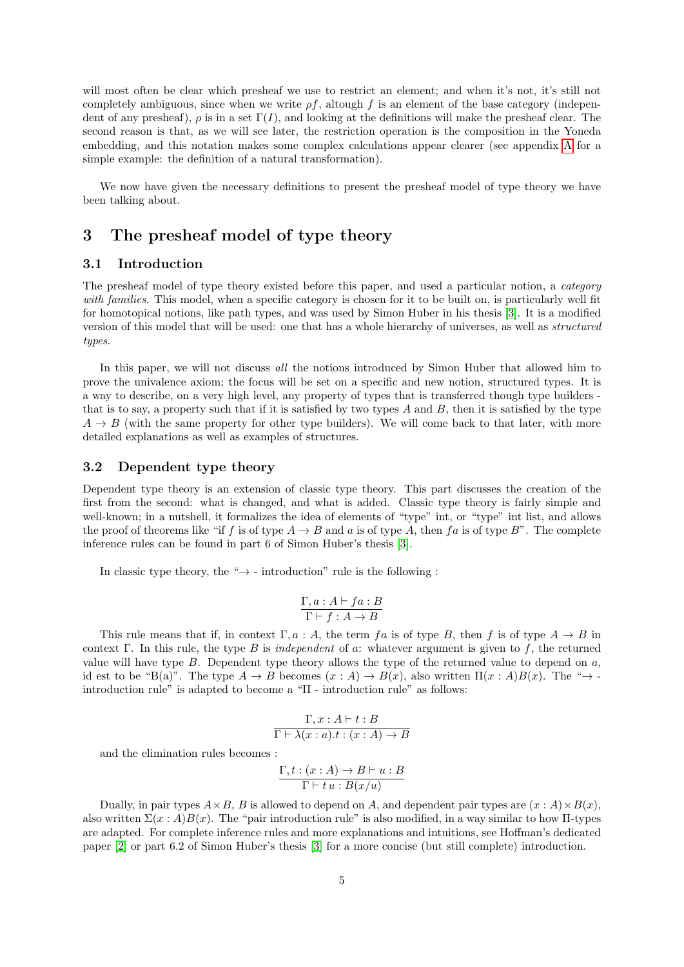will most often be clear which presheaf we use to restrict an element; and when it's not, it's still not completely ambiguous, since when we write  $\rho f$ , altough f is an element of the base category (independent of any presheaf),  $\rho$  is in a set  $\Gamma(I)$ , and looking at the definitions will make the presheaf clear. The second reason is that, as we will see later, the restriction operation is the composition in the Yoneda embedding, and this notation makes some complex calculations appear clearer (see appendix [A](#page-10-0) for a simple example: the definition of a natural transformation).

We now have given the necessary definitions to present the presheaf model of type theory we have been talking about.

# <span id="page-4-0"></span>3 The presheaf model of type theory

# <span id="page-4-1"></span>3.1 Introduction

The presheaf model of type theory existed before this paper, and used a particular notion, a *category* with families. This model, when a specific category is chosen for it to be built on, is particularly well fit for homotopical notions, like path types, and was used by Simon Huber in his thesis [\[3\]](#page-20-4). It is a modified version of this model that will be used: one that has a whole hierarchy of universes, as well as structured types.

In this paper, we will not discuss *all* the notions introduced by Simon Huber that allowed him to prove the univalence axiom; the focus will be set on a specific and new notion, structured types. It is a way to describe, on a very high level, any property of types that is transferred though type builders that is to say, a property such that if it is satisfied by two types A and B, then it is satisfied by the type  $A \rightarrow B$  (with the same property for other type builders). We will come back to that later, with more detailed explanations as well as examples of structures.

### <span id="page-4-2"></span>3.2 Dependent type theory

Dependent type theory is an extension of classic type theory. This part discusses the creation of the first from the second: what is changed, and what is added. Classic type theory is fairly simple and well-known; in a nutshell, it formalizes the idea of elements of "type" int, or "type" int list, and allows the proof of theorems like "if f is of type  $A \to B$  and a is of type A, then f a is of type B". The complete inference rules can be found in part 6 of Simon Huber's thesis [\[3\]](#page-20-4).

In classic type theory, the " $\rightarrow$  - introduction" rule is the following :

$$
\frac{\Gamma, a : A \vdash fa : B}{\Gamma \vdash f : A \to B}
$$

This rule means that if, in context  $\Gamma, a : A$ , the term fa is of type B, then f is of type  $A \to B$  in context Γ. In this rule, the type B is independent of a: whatever argument is given to f, the returned value will have type  $B$ . Dependent type theory allows the type of the returned value to depend on  $a$ , id est to be "B(a)". The type A → B becomes (x : A) → B(x), also written Π(x : A)B(x). The "→ introduction rule" is adapted to become a "Π - introduction rule" as follows:

$$
\frac{\Gamma, x:A\vdash t:B}{\Gamma\vdash\lambda(x:a).t:(x:A)\rightarrow B}
$$

and the elimination rules becomes :

$$
\frac{\Gamma, t: (x:A) \to B \vdash u: B}{\Gamma \vdash t u: B(x/u)}
$$

Dually, in pair types  $A \times B$ , B is allowed to depend on A, and dependent pair types are  $(x : A) \times B(x)$ , also written  $\Sigma(x:A)B(x)$ . The "pair introduction rule" is also modified, in a way similar to how II-types are adapted. For complete inference rules and more explanations and intuitions, see Hoffman's dedicated paper [\[2\]](#page-20-5) or part 6.2 of Simon Huber's thesis [\[3\]](#page-20-4) for a more concise (but still complete) introduction.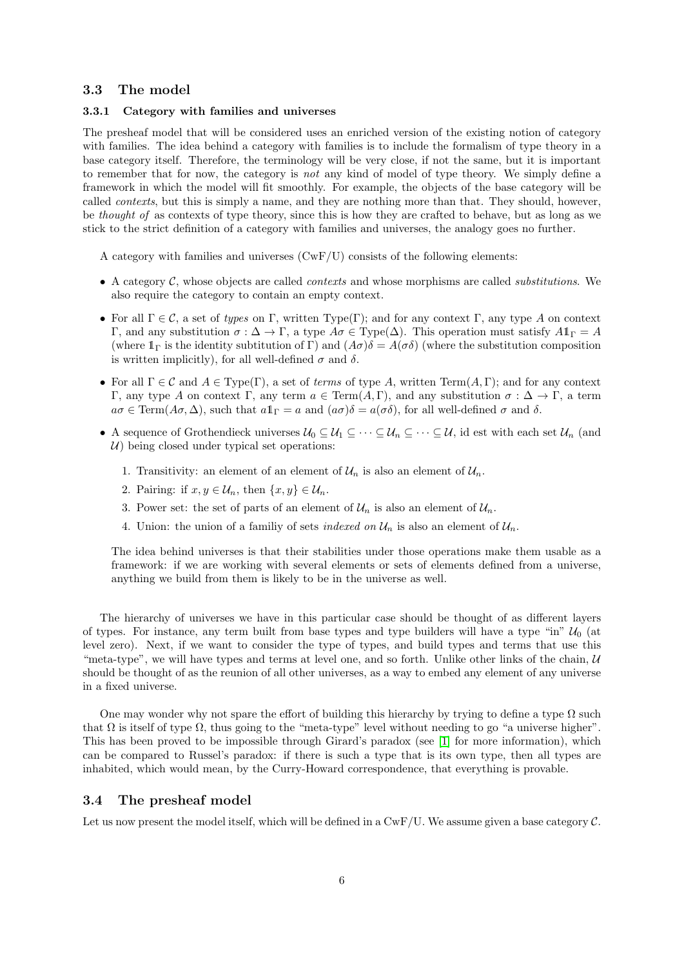## <span id="page-5-0"></span>3.3 The model

#### <span id="page-5-1"></span>3.3.1 Category with families and universes

The presheaf model that will be considered uses an enriched version of the existing notion of category with families. The idea behind a category with families is to include the formalism of type theory in a base category itself. Therefore, the terminology will be very close, if not the same, but it is important to remember that for now, the category is not any kind of model of type theory. We simply define a framework in which the model will fit smoothly. For example, the objects of the base category will be called contexts, but this is simply a name, and they are nothing more than that. They should, however, be thought of as contexts of type theory, since this is how they are crafted to behave, but as long as we stick to the strict definition of a category with families and universes, the analogy goes no further.

A category with families and universes  $(CwF/U)$  consists of the following elements:

- A category  $C$ , whose objects are called *contexts* and whose morphisms are called *substitutions*. We also require the category to contain an empty context.
- For all  $\Gamma \in \mathcal{C}$ , a set of types on Γ, written Type(Γ); and for any context Γ, any type A on context Γ, and any substitution  $\sigma$ :  $\Delta$  → Γ, a type  $A\sigma$  ∈ Type( $\Delta$ ). This operation must satisfy  $A\mathbb{1}_\Gamma = A$ (where  $1_{\Gamma}$  is the identity subtitution of Γ) and  $(A\sigma)\delta = A(\sigma\delta)$  (where the substitution composition is written implicitly), for all well-defined  $\sigma$  and  $\delta$ .
- For all  $\Gamma \in \mathcal{C}$  and  $A \in Type(\Gamma)$ , a set of terms of type A, written Term $(A, \Gamma)$ ; and for any context Γ, any type A on context Γ, any term  $a \in \text{Term}(A, \Gamma)$ , and any substitution  $\sigma : \Delta \to \Gamma$ , a term  $a\sigma \in \text{Term}(A\sigma,\Delta)$ , such that  $a\mathbb{1}_{\Gamma} = a$  and  $(a\sigma)\delta = a(\sigma\delta)$ , for all well-defined  $\sigma$  and  $\delta$ .
- A sequence of Grothendieck universes  $\mathcal{U}_0 \subseteq \mathcal{U}_1 \subseteq \cdots \subseteq \mathcal{U}_n \subseteq \cdots \subseteq \mathcal{U}$ , id est with each set  $\mathcal{U}_n$  (and  $U$ ) being closed under typical set operations:
	- 1. Transitivity: an element of an element of  $\mathcal{U}_n$  is also an element of  $\mathcal{U}_n$ .
	- 2. Pairing: if  $x, y \in \mathcal{U}_n$ , then  $\{x, y\} \in \mathcal{U}_n$ .
	- 3. Power set: the set of parts of an element of  $\mathcal{U}_n$  is also an element of  $\mathcal{U}_n$ .
	- 4. Union: the union of a familiy of sets *indexed on*  $\mathcal{U}_n$  is also an element of  $\mathcal{U}_n$ .

The idea behind universes is that their stabilities under those operations make them usable as a framework: if we are working with several elements or sets of elements defined from a universe, anything we build from them is likely to be in the universe as well.

The hierarchy of universes we have in this particular case should be thought of as different layers of types. For instance, any term built from base types and type builders will have a type "in"  $\mathcal{U}_0$  (at level zero). Next, if we want to consider the type of types, and build types and terms that use this "meta-type", we will have types and terms at level one, and so forth. Unlike other links of the chain,  $U$ should be thought of as the reunion of all other universes, as a way to embed any element of any universe in a fixed universe.

One may wonder why not spare the effort of building this hierarchy by trying to define a type  $\Omega$  such that  $\Omega$  is itself of type  $\Omega$ , thus going to the "meta-type" level without needing to go "a universe higher". This has been proved to be impossible through Girard's paradox (see [\[1\]](#page-20-6) for more information), which can be compared to Russel's paradox: if there is such a type that is its own type, then all types are inhabited, which would mean, by the Curry-Howard correspondence, that everything is provable.

### <span id="page-5-2"></span>3.4 The presheaf model

Let us now present the model itself, which will be defined in a  $CwF/U$ . We assume given a base category  $\mathcal{C}$ .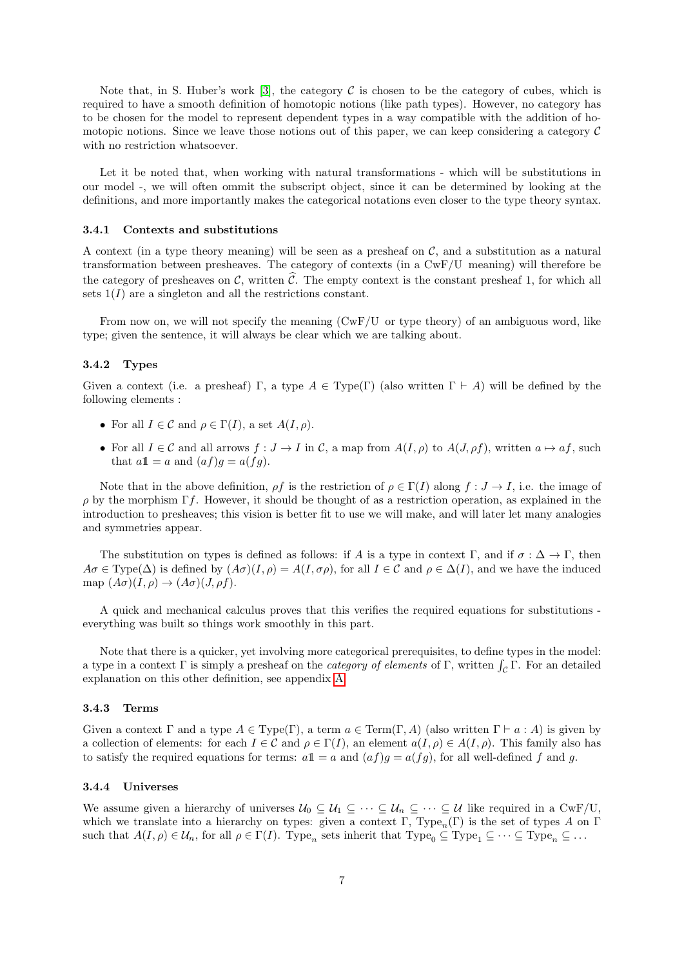Note that, in S. Huber's work [\[3\]](#page-20-4), the category  $\mathcal C$  is chosen to be the category of cubes, which is required to have a smooth definition of homotopic notions (like path types). However, no category has to be chosen for the model to represent dependent types in a way compatible with the addition of homotopic notions. Since we leave those notions out of this paper, we can keep considering a category  $\mathcal C$ with no restriction whatsoever.

Let it be noted that, when working with natural transformations - which will be substitutions in our model -, we will often ommit the subscript object, since it can be determined by looking at the definitions, and more importantly makes the categorical notations even closer to the type theory syntax.

#### <span id="page-6-0"></span>3.4.1 Contexts and substitutions

A context (in a type theory meaning) will be seen as a presheaf on  $\mathcal{C}$ , and a substitution as a natural transformation between presheaves. The category of contexts (in a CwF/U meaning) will therefore be the category of presheaves on  $\mathcal{C}$ , written  $\hat{\mathcal{C}}$ . The empty context is the constant presheaf 1, for which all sets  $1(I)$  are a singleton and all the restrictions constant.

From now on, we will not specify the meaning (CwF/U or type theory) of an ambiguous word, like type; given the sentence, it will always be clear which we are talking about.

#### <span id="page-6-1"></span>3.4.2 Types

Given a context (i.e. a presheaf) Γ, a type  $A \in Type(\Gamma)$  (also written  $\Gamma \vdash A$ ) will be defined by the following elements :

- For all  $I \in \mathcal{C}$  and  $\rho \in \Gamma(I)$ , a set  $A(I, \rho)$ .
- For all  $I \in \mathcal{C}$  and all arrows  $f : J \to I$  in  $\mathcal{C}$ , a map from  $A(I, \rho)$  to  $A(J, \rho f)$ , written  $a \mapsto af$ , such that  $a\mathbb{1} = a$  and  $(af)g = a(fg)$ .

Note that in the above definition,  $\rho f$  is the restriction of  $\rho \in \Gamma(I)$  along  $f: J \to I$ , i.e. the image of  $ρ$  by the morphism Γf. However, it should be thought of as a restriction operation, as explained in the introduction to presheaves; this vision is better fit to use we will make, and will later let many analogies and symmetries appear.

The substitution on types is defined as follows: if A is a type in context Γ, and if  $\sigma : \Delta \to \Gamma$ , then  $A\sigma \in \text{Type}(\Delta)$  is defined by  $(A\sigma)(I,\rho) = A(I,\sigma\rho)$ , for all  $I \in \mathcal{C}$  and  $\rho \in \Delta(I)$ , and we have the induced map  $(A\sigma)(I,\rho) \rightarrow (A\sigma)(J,\rho f)$ .

A quick and mechanical calculus proves that this verifies the required equations for substitutions everything was built so things work smoothly in this part.

Note that there is a quicker, yet involving more categorical prerequisites, to define types in the model: a type in a context  $\Gamma$  is simply a presheaf on the *category of elements* of  $\Gamma$ , written  $\int_{\mathcal{C}} \Gamma$ . For an detailed explanation on this other definition, see appendix [A.](#page-10-0)

#### <span id="page-6-2"></span>3.4.3 Terms

Given a context  $\Gamma$  and a type  $A \in Type(\Gamma)$ , a term  $a \in Term(\Gamma, A)$  (also written  $\Gamma \vdash a : A$ ) is given by a collection of elements: for each  $I \in \mathcal{C}$  and  $\rho \in \Gamma(I)$ , an element  $a(I, \rho) \in A(I, \rho)$ . This family also has to satisfy the required equations for terms:  $a1 = a$  and  $(af)g = a(fg)$ , for all well-defined f and g.

#### <span id="page-6-3"></span>3.4.4 Universes

We assume given a hierarchy of universes  $U_0 \subseteq U_1 \subseteq \cdots \subseteq U_n \subseteq \cdots \subseteq U$  like required in a CwF/U, which we translate into a hierarchy on types: given a context Γ, Type<sub>n</sub>(Γ) is the set of types A on Γ such that  $A(I, \rho) \in \mathcal{U}_n$ , for all  $\rho \in \Gamma(I)$ . Type<sub>n</sub> sets inherit that Type<sub>0</sub>  $\subseteq$  Type<sub>1</sub>  $\subseteq \cdots \subseteq$  Type<sub>n</sub>  $\subseteq \cdots$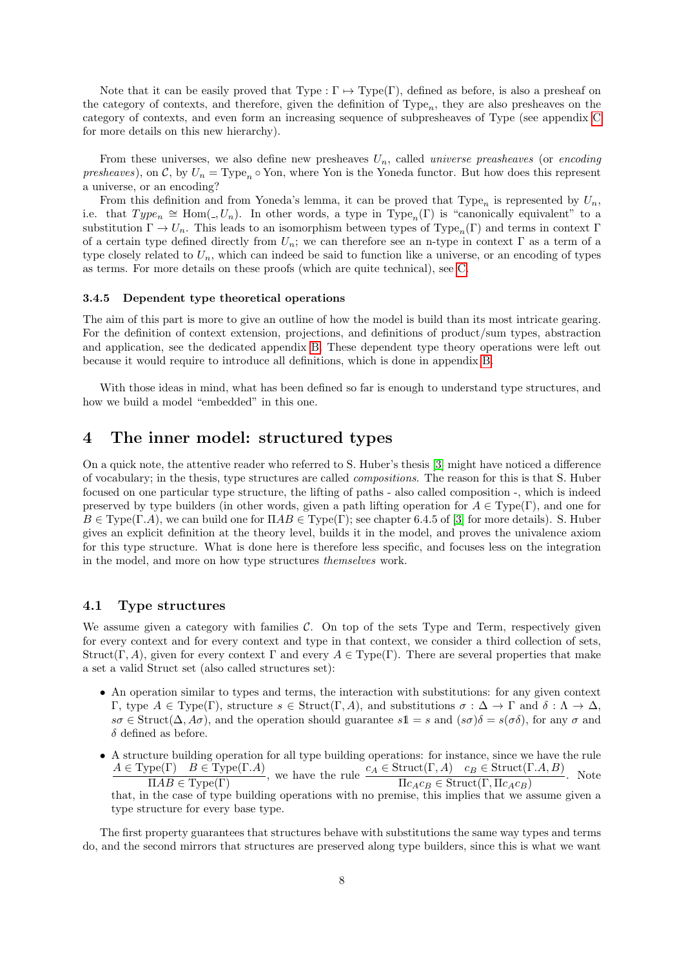Note that it can be easily proved that Type :  $\Gamma \mapsto Type(\Gamma)$ , defined as before, is also a presheaf on the category of contexts, and therefore, given the definition of  $Type_n$ , they are also presheaves on the category of contexts, and even form an increasing sequence of subpresheaves of Type (see appendix [C](#page-16-0) for more details on this new hierarchy).

From these universes, we also define new presheaves  $U_n$ , called *universe preasheaves* (or *encoding* presheaves), on C, by  $U_n = \text{Type}_n \circ \text{Yon}$ , where Yon is the Yoneda functor. But how does this represent a universe, or an encoding?

From this definition and from Yoneda's lemma, it can be proved that  $Type_n$  is represented by  $U_n$ , i.e. that  $Type_n \cong \text{Hom}(. , U_n)$ . In other words, a type in  $Type_n(\Gamma)$  is "canonically equivalent" to a substitution  $\Gamma \to U_n$ . This leads to an isomorphism between types of Type<sub>n</sub>(Γ) and terms in context Γ of a certain type defined directly from  $U_n$ ; we can therefore see an n-type in context  $\Gamma$  as a term of a type closely related to  $U_n$ , which can indeed be said to function like a universe, or an encoding of types as terms. For more details on these proofs (which are quite technical), see [C.](#page-16-0)

#### <span id="page-7-0"></span>3.4.5 Dependent type theoretical operations

The aim of this part is more to give an outline of how the model is build than its most intricate gearing. For the definition of context extension, projections, and definitions of product/sum types, abstraction and application, see the dedicated appendix [B.](#page-13-0) These dependent type theory operations were left out because it would require to introduce all definitions, which is done in appendix [B.](#page-13-0)

With those ideas in mind, what has been defined so far is enough to understand type structures, and how we build a model "embedded" in this one.

# <span id="page-7-1"></span>4 The inner model: structured types

On a quick note, the attentive reader who referred to S. Huber's thesis [\[3\]](#page-20-4) might have noticed a difference of vocabulary; in the thesis, type structures are called compositions. The reason for this is that S. Huber focused on one particular type structure, the lifting of paths - also called composition -, which is indeed preserved by type builders (in other words, given a path lifting operation for  $A \in Type(\Gamma)$ , and one for  $B \in Type(\Gamma.A)$ , we can build one for  $\Pi AB \in Type(\Gamma)$ ; see chapter 6.4.5 of [\[3\]](#page-20-4) for more details). S. Huber gives an explicit definition at the theory level, builds it in the model, and proves the univalence axiom for this type structure. What is done here is therefore less specific, and focuses less on the integration in the model, and more on how type structures themselves work.

#### <span id="page-7-2"></span>4.1 Type structures

We assume given a category with families  $\mathcal{C}$ . On top of the sets Type and Term, respectively given for every context and for every context and type in that context, we consider a third collection of sets, Struct(Γ, A), given for every context Γ and every  $A \in Type(\Gamma)$ . There are several properties that make a set a valid Struct set (also called structures set):

- An operation similar to types and terms, the interaction with substitutions: for any given context Γ, type  $A \in Type(Γ)$ , structure  $s \in Structure(Γ, A)$ , and substitutions  $\sigma : \Delta \to Γ$  and  $\delta : \Lambda \to \Delta$ ,  $s\sigma \in \text{Struct}(\Delta, A\sigma)$ , and the operation should guarantee  $s1 = s$  and  $(s\sigma)\delta = s(\sigma\delta)$ , for any  $\sigma$  and  $\delta$  defined as before.
- A structure building operation for all type building operations: for instance, since we have the rule  $A \in Type(\Gamma)$   $B \in Type(\Gamma.A)$ , we have the rule  $c_A \in \text{Struct}(\Gamma,A)$   $c_B \in \text{Struct}(\Gamma.A, B)$ <br> $\Pi AB \in Type(\Gamma)$ . Note that, in the case of type building operations with no premise, this implies that we assume given a type structure for every base type.

The first property guarantees that structures behave with substitutions the same way types and terms do, and the second mirrors that structures are preserved along type builders, since this is what we want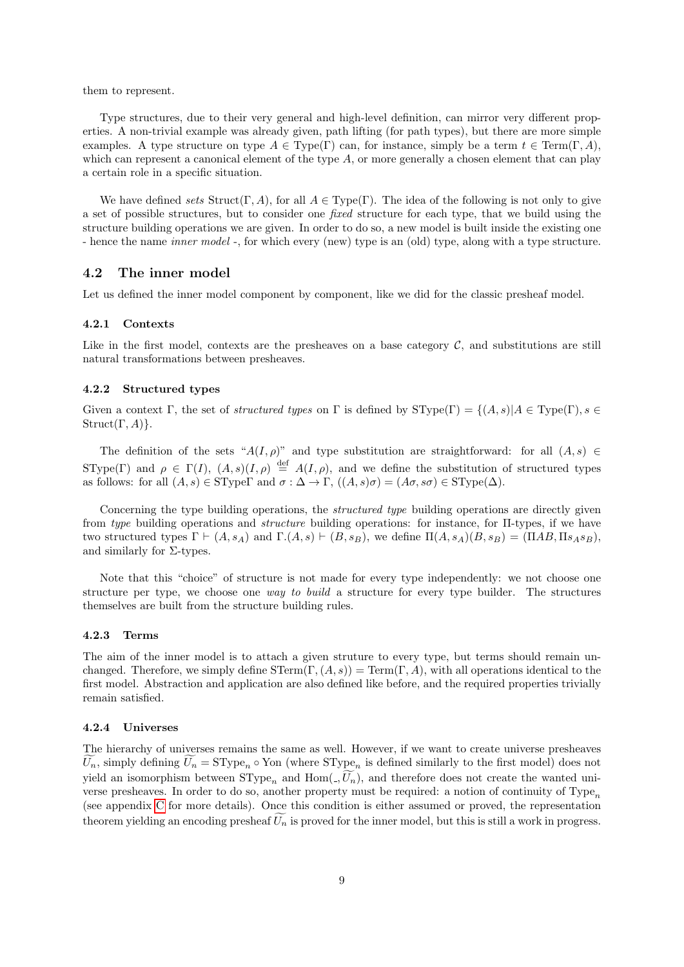them to represent.

Type structures, due to their very general and high-level definition, can mirror very different properties. A non-trivial example was already given, path lifting (for path types), but there are more simple examples. A type structure on type  $A \in Type(\Gamma)$  can, for instance, simply be a term  $t \in Term(\Gamma, A)$ , which can represent a canonical element of the type  $A$ , or more generally a chosen element that can play a certain role in a specific situation.

We have defined sets Struct(Γ, A), for all  $A \in Type(\Gamma)$ . The idea of the following is not only to give a set of possible structures, but to consider one fixed structure for each type, that we build using the structure building operations we are given. In order to do so, a new model is built inside the existing one - hence the name *inner model* -, for which every (new) type is an (old) type, along with a type structure.

### <span id="page-8-0"></span>4.2 The inner model

Let us defined the inner model component by component, like we did for the classic presheaf model.

#### <span id="page-8-1"></span>4.2.1 Contexts

Like in the first model, contexts are the presheaves on a base category  $\mathcal{C}$ , and substitutions are still natural transformations between presheaves.

#### <span id="page-8-2"></span>4.2.2 Structured types

Given a context Γ, the set of *structured types* on Γ is defined by  $SType(\Gamma) = \{(A, s) | A \in Type(\Gamma), s \in$  $Struct(\Gamma, A)$ .

The definition of the sets " $A(I,\rho)$ " and type substitution are straightforward: for all  $(A, s) \in$ SType(Γ) and  $\rho \in \Gamma(I)$ ,  $(A, s)(I, \rho) \stackrel{\text{def}}{=} A(I, \rho)$ , and we define the substitution of structured types as follows: for all  $(A, s) \in \text{SType}$  and  $\sigma : \Delta \to \Gamma$ ,  $((A, s)\sigma) = (A\sigma, s\sigma) \in \text{SType}(\Delta)$ .

Concerning the type building operations, the *structured type* building operations are directly given from type building operations and structure building operations: for instance, for Π-types, if we have two structured types  $\Gamma \vdash (A, s_A)$  and  $\Gamma.(A, s) \vdash (B, s_B)$ , we define  $\Pi(A, s_A)(B, s_B) = (\Pi AB, \Pi s_A s_B)$ , and similarly for  $\Sigma$ -types.

Note that this "choice" of structure is not made for every type independently: we not choose one structure per type, we choose one way to build a structure for every type builder. The structures themselves are built from the structure building rules.

#### <span id="page-8-3"></span>4.2.3 Terms

The aim of the inner model is to attach a given struture to every type, but terms should remain unchanged. Therefore, we simply define  $\text{STerm}(\Gamma, (A, s)) = \text{Term}(\Gamma, A)$ , with all operations identical to the first model. Abstraction and application are also defined like before, and the required properties trivially remain satisfied.

#### <span id="page-8-4"></span>4.2.4 Universes

The hierarchy of universes remains the same as well. However, if we want to create universe presheaves  $U_n$ , simply defining  $U_n = \text{SType}_n \circ \text{Yon}$  (where  $\text{SType}_n$  is defined similarly to the first model) does not yield an isomorphism between  $SType_n$  and  $Hom(\overline{U}_n)$ , and therefore does not create the wanted universe presheaves. In order to do so, another property must be required: a notion of continuity of  $Type_n$ (see appendix [C](#page-16-0) for more details). Once this condition is either assumed or proved, the representation theorem yielding an encoding presheaf  $\tilde{U}_n$  is proved for the inner model, but this is still a work in progress.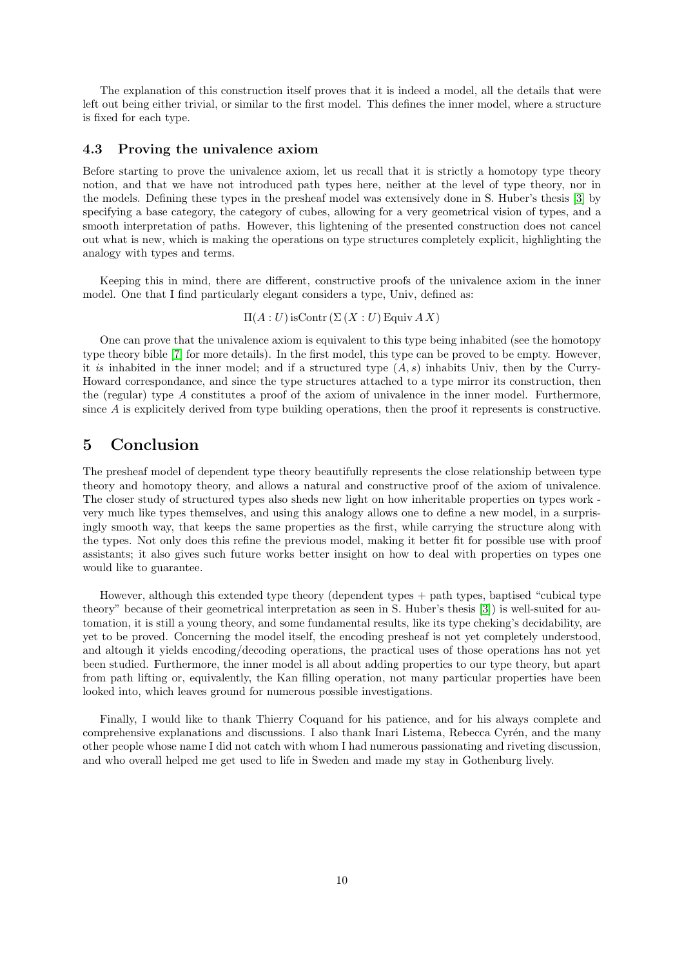The explanation of this construction itself proves that it is indeed a model, all the details that were left out being either trivial, or similar to the first model. This defines the inner model, where a structure is fixed for each type.

# <span id="page-9-0"></span>4.3 Proving the univalence axiom

Before starting to prove the univalence axiom, let us recall that it is strictly a homotopy type theory notion, and that we have not introduced path types here, neither at the level of type theory, nor in the models. Defining these types in the presheaf model was extensively done in S. Huber's thesis [\[3\]](#page-20-4) by specifying a base category, the category of cubes, allowing for a very geometrical vision of types, and a smooth interpretation of paths. However, this lightening of the presented construction does not cancel out what is new, which is making the operations on type structures completely explicit, highlighting the analogy with types and terms.

Keeping this in mind, there are different, constructive proofs of the univalence axiom in the inner model. One that I find particularly elegant considers a type, Univ, defined as:

 $\Pi(A:U)$  is Contr  $(\Sigma(X:U)$  Equiv  $AX)$ 

One can prove that the univalence axiom is equivalent to this type being inhabited (see the homotopy type theory bible [\[7\]](#page-20-1) for more details). In the first model, this type can be proved to be empty. However, it is inhabited in the inner model; and if a structured type  $(A, s)$  inhabits Univ, then by the Curry-Howard correspondance, and since the type structures attached to a type mirror its construction, then the (regular) type A constitutes a proof of the axiom of univalence in the inner model. Furthermore, since A is explicitely derived from type building operations, then the proof it represents is constructive.

# <span id="page-9-1"></span>5 Conclusion

The presheaf model of dependent type theory beautifully represents the close relationship between type theory and homotopy theory, and allows a natural and constructive proof of the axiom of univalence. The closer study of structured types also sheds new light on how inheritable properties on types work very much like types themselves, and using this analogy allows one to define a new model, in a surprisingly smooth way, that keeps the same properties as the first, while carrying the structure along with the types. Not only does this refine the previous model, making it better fit for possible use with proof assistants; it also gives such future works better insight on how to deal with properties on types one would like to guarantee.

However, although this extended type theory (dependent types + path types, baptised "cubical type theory" because of their geometrical interpretation as seen in S. Huber's thesis [\[3\]](#page-20-4)) is well-suited for automation, it is still a young theory, and some fundamental results, like its type cheking's decidability, are yet to be proved. Concerning the model itself, the encoding presheaf is not yet completely understood, and altough it yields encoding/decoding operations, the practical uses of those operations has not yet been studied. Furthermore, the inner model is all about adding properties to our type theory, but apart from path lifting or, equivalently, the Kan filling operation, not many particular properties have been looked into, which leaves ground for numerous possible investigations.

Finally, I would like to thank Thierry Coquand for his patience, and for his always complete and comprehensive explanations and discussions. I also thank Inari Listema, Rebecca Cyrén, and the many other people whose name I did not catch with whom I had numerous passionating and riveting discussion, and who overall helped me get used to life in Sweden and made my stay in Gothenburg lively.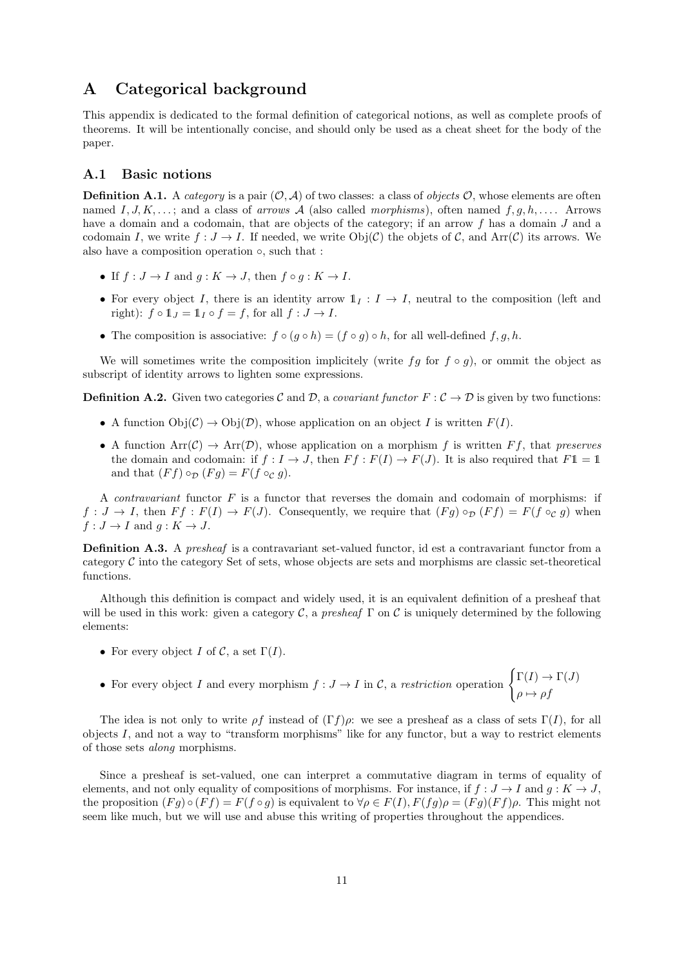# <span id="page-10-0"></span>A Categorical background

This appendix is dedicated to the formal definition of categorical notions, as well as complete proofs of theorems. It will be intentionally concise, and should only be used as a cheat sheet for the body of the paper.

# <span id="page-10-1"></span>A.1 Basic notions

**Definition A.1.** A category is a pair  $(0, \mathcal{A})$  of two classes: a class of objects O, whose elements are often named I, J, K,...; and a class of arrows A (also called morphisms), often named  $f, g, h, \ldots$ . Arrows have a domain and a codomain, that are objects of the category; if an arrow f has a domain J and a codomain I, we write  $f: J \to I$ . If needed, we write  $Obj(\mathcal{C})$  the objets of  $\mathcal{C}$ , and  $Arr(\mathcal{C})$  its arrows. We also have a composition operation ◦, such that :

- If  $f: J \to I$  and  $g: K \to J$ , then  $f \circ g: K \to I$ .
- For every object I, there is an identity arrow  $1<sub>I</sub>: I \rightarrow I$ , neutral to the composition (left and right):  $f \circ 1 \mathbf{1}_I = 1 \mathbf{1}_I \circ f = f$ , for all  $f : J \to I$ .
- The composition is associative:  $f \circ (g \circ h) = (f \circ g) \circ h$ , for all well-defined  $f, g, h$ .

We will sometimes write the composition implicitely (write fg for  $f \circ g$ ), or ommit the object as subscript of identity arrows to lighten some expressions.

**Definition A.2.** Given two categories C and D, a covariant functor  $F : \mathcal{C} \to \mathcal{D}$  is given by two functions:

- A function  $Obj(\mathcal{C}) \to Obj(\mathcal{D})$ , whose application on an object I is written  $F(I)$ .
- A function  $Arr(C) \rightarrow Arr(D)$ , whose application on a morphism f is written Ff, that preserves the domain and codomain: if  $f: I \to J$ , then  $F f: F(I) \to F(J)$ . It is also required that  $F1 = 1$ and that  $(Ff) \circ_{\mathcal{D}} (Fg) = F(f \circ_{\mathcal{C}} g)$ .

A *contravariant* functor  $F$  is a functor that reverses the domain and codomain of morphisms: if  $f: J \to I$ , then  $F f: F(I) \to F(J)$ . Consequently, we require that  $(Fg) \circ_{\mathcal{D}} (F f) = F(f \circ_{\mathcal{C}} g)$  when  $f: J \to I$  and  $g: K \to J$ .

Definition A.3. A presheaf is a contravariant set-valued functor, id est a contravariant functor from a category  $C$  into the category Set of sets, whose objects are sets and morphisms are classic set-theoretical functions.

Although this definition is compact and widely used, it is an equivalent definition of a presheaf that will be used in this work: given a category  $\mathcal{C}$ , a presheaf  $\Gamma$  on  $\mathcal{C}$  is uniquely determined by the following elements:

- For every object I of C, a set  $\Gamma(I)$ .
- For every object I and every morphism  $f: J \to I$  in C, a restriction operation  $\begin{cases} \Gamma(I) \to \Gamma(J) \end{cases}$  $\rho \mapsto \rho f$

The idea is not only to write  $\rho f$  instead of  $(\Gamma f)\rho$ : we see a presheaf as a class of sets  $\Gamma(I)$ , for all objects  $I$ , and not a way to "transform morphisms" like for any functor, but a way to restrict elements of those sets along morphisms.

Since a presheaf is set-valued, one can interpret a commutative diagram in terms of equality of elements, and not only equality of compositions of morphisms. For instance, if  $f : J \to I$  and  $g : K \to J$ , the proposition  $(Fq) \circ (Ff) = F(f \circ q)$  is equivalent to  $\forall \rho \in F(I), F(fq) \rho = (Fq)(Ff) \rho$ . This might not seem like much, but we will use and abuse this writing of properties throughout the appendices.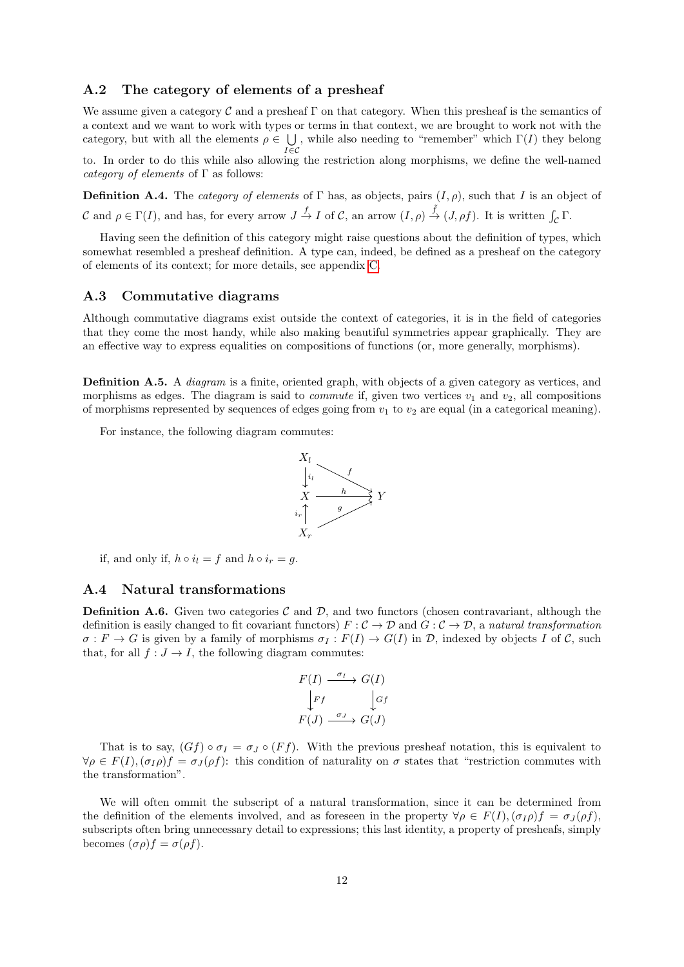# <span id="page-11-0"></span>A.2 The category of elements of a presheaf

We assume given a category  $\mathcal C$  and a presheaf  $\Gamma$  on that category. When this presheaf is the semantics of a context and we want to work with types or terms in that context, we are brought to work not with the category, but with all the elements  $\rho \in \bigcup$ , while also needing to "remember" which  $\Gamma(I)$  they belong to. In order to do this while also allowing the restriction along morphisms, we define the well-named

category of elements of  $\Gamma$  as follows:

**Definition A.4.** The *category of elements* of Γ has, as objects, pairs  $(I, \rho)$ , such that I is an object of C and  $\rho \in \Gamma(I)$ , and has, for every arrow  $J \stackrel{f}{\to} I$  of C, an arrow  $(I, \rho) \stackrel{\tilde{f}}{\to} (J, \rho f)$ . It is written  $\int_{\mathcal{C}} \Gamma$ .

Having seen the definition of this category might raise questions about the definition of types, which somewhat resembled a presheaf definition. A type can, indeed, be defined as a presheaf on the category of elements of its context; for more details, see appendix [C.](#page-16-0)

# <span id="page-11-1"></span>A.3 Commutative diagrams

Although commutative diagrams exist outside the context of categories, it is in the field of categories that they come the most handy, while also making beautiful symmetries appear graphically. They are an effective way to express equalities on compositions of functions (or, more generally, morphisms).

Definition A.5. A *diagram* is a finite, oriented graph, with objects of a given category as vertices, and morphisms as edges. The diagram is said to *commute* if, given two vertices  $v_1$  and  $v_2$ , all compositions of morphisms represented by sequences of edges going from  $v_1$  to  $v_2$  are equal (in a categorical meaning).

For instance, the following diagram commutes:



if, and only if,  $h \circ i_l = f$  and  $h \circ i_r = g$ .

### <span id="page-11-2"></span>A.4 Natural transformations

**Definition A.6.** Given two categories C and D, and two functors (chosen contravariant, although the definition is easily changed to fit covariant functors)  $F : C \to D$  and  $G : C \to D$ , a natural transformation  $\sigma: F \to G$  is given by a family of morphisms  $\sigma_I : F(I) \to G(I)$  in  $\mathcal{D}$ , indexed by objects I of C, such that, for all  $f: J \to I$ , the following diagram commutes:

$$
F(I) \xrightarrow{\sigma_I} G(I)
$$
  
\n
$$
F \downarrow_{\text{G}f}
$$
  
\n
$$
F(J) \xrightarrow{\sigma_J} G(J)
$$

That is to say,  $(Gf) \circ \sigma_I = \sigma_J \circ (Ff)$ . With the previous presheaf notation, this is equivalent to  $\forall \rho \in F(I), (\sigma_I \rho) f = \sigma_I (\rho f)$ : this condition of naturality on  $\sigma$  states that "restriction commutes with the transformation".

We will often ommit the subscript of a natural transformation, since it can be determined from the definition of the elements involved, and as foreseen in the property  $\forall \rho \in F(I), (\sigma_I \rho) f = \sigma_I(\rho f)$ , subscripts often bring unnecessary detail to expressions; this last identity, a property of presheafs, simply becomes  $(\sigma \rho) f = \sigma(\rho f)$ .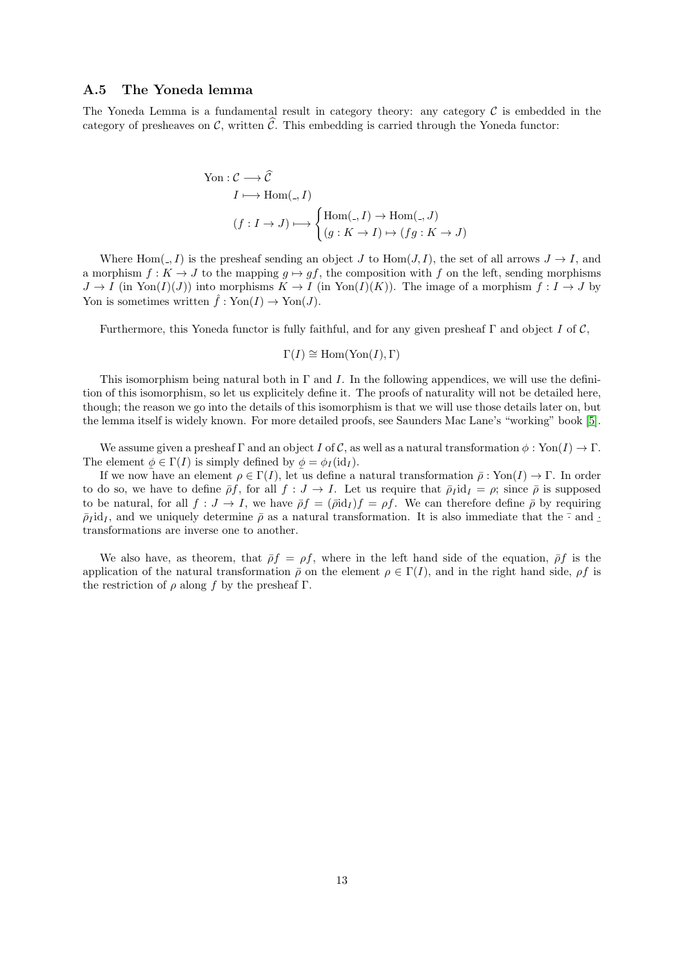# <span id="page-12-0"></span>A.5 The Yoneda lemma

The Yoneda Lemma is a fundamental result in category theory: any category  $\mathcal C$  is embedded in the category of presheaves on  $\mathcal{C}$ , written  $\mathcal{C}$ . This embedding is carried through the Yoneda functor:

$$
\begin{aligned}\n\text{Yon}: \mathcal{C} &\longrightarrow \widehat{\mathcal{C}} \\
I &\longmapsto \text{Hom}(\_,I) \\
(f: I \to J) &\longmapsto \begin{cases}\n\text{Hom}(\_,I) &\to \text{Hom}(\_,J) \\
(g:K \to I) &\mapsto (fg:K \to J)\n\end{cases}\n\end{aligned}
$$

Where  $\text{Hom}(\_,I)$  is the presheaf sending an object J to  $\text{Hom}(J, I)$ , the set of all arrows  $J \to I$ , and a morphism  $f: K \to J$  to the mapping  $g \mapsto gf$ , the composition with f on the left, sending morphisms  $J \to I$  (in Yon(I)(J)) into morphisms  $K \to I$  (in Yon(I)(K)). The image of a morphism  $f: I \to J$  by Yon is sometimes written  $\hat{f} : \text{Yon}(I) \to \text{Yon}(J)$ .

Furthermore, this Yoneda functor is fully faithful, and for any given presheaf  $\Gamma$  and object I of C,

$$
\Gamma(I) \cong \text{Hom}(\text{Yon}(I), \Gamma)
$$

This isomorphism being natural both in  $\Gamma$  and I. In the following appendices, we will use the definition of this isomorphism, so let us explicitely define it. The proofs of naturality will not be detailed here, though; the reason we go into the details of this isomorphism is that we will use those details later on, but the lemma itself is widely known. For more detailed proofs, see Saunders Mac Lane's "working" book [\[5\]](#page-20-7).

We assume given a presheaf  $\Gamma$  and an object I of C, as well as a natural transformation  $\phi : \text{Yon}(I) \to \Gamma$ . The element  $\phi \in \Gamma(I)$  is simply defined by  $\phi = \phi_I(\mathrm{id}_I)$ .

If we now have an element  $\rho \in \Gamma(I)$ , let us define a natural transformation  $\bar{\rho}$ : Yon(I)  $\to \Gamma$ . In order to do so, we have to define  $\bar{\rho}f$ , for all  $f : J \to I$ . Let us require that  $\bar{\rho}_I \mathrm{id}_I = \rho$ ; since  $\bar{\rho}$  is supposed to be natural, for all  $f: J \to I$ , we have  $\bar{\rho}f = (\bar{\rho}id_I)f = \rho f$ . We can therefore define  $\bar{\rho}$  by requiring  $\bar{\rho}_I$ id<sub>I</sub>, and we uniquely determine  $\bar{\rho}$  as a natural transformation. It is also immediate that the  $\bar{\cdot}$  and  $\pm$ transformations are inverse one to another.

We also have, as theorem, that  $\bar{\rho}f = \rho f$ , where in the left hand side of the equation,  $\bar{\rho}f$  is the application of the natural transformation  $\bar{\rho}$  on the element  $\rho \in \Gamma(I)$ , and in the right hand side,  $\rho f$  is the restriction of  $\rho$  along f by the presheaf Γ.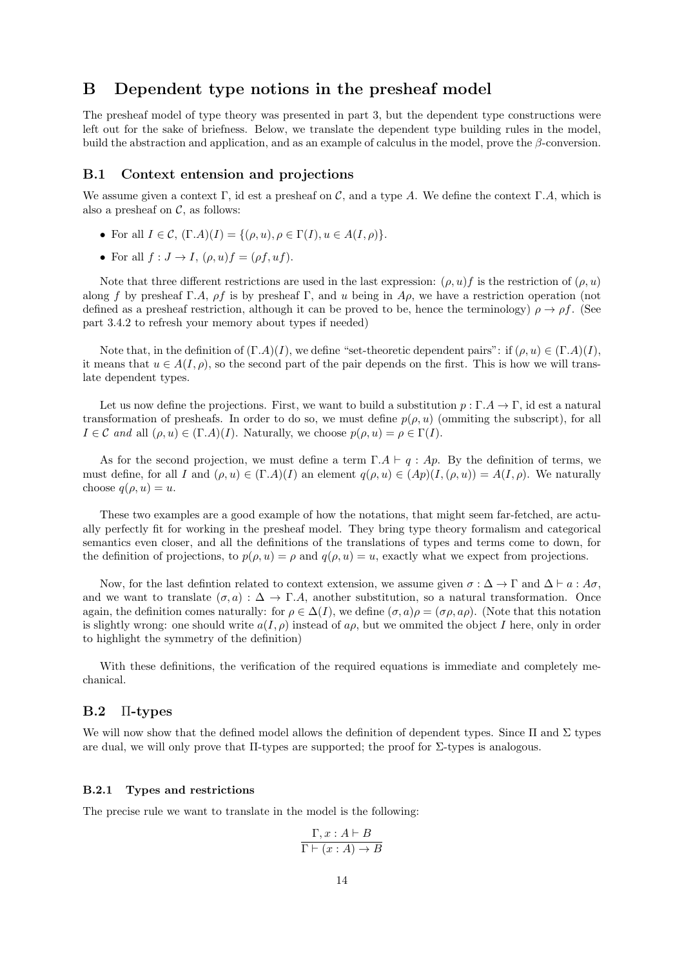# <span id="page-13-0"></span>B Dependent type notions in the presheaf model

The presheaf model of type theory was presented in part 3, but the dependent type constructions were left out for the sake of briefness. Below, we translate the dependent type building rules in the model, build the abstraction and application, and as an example of calculus in the model, prove the  $\beta$ -conversion.

### <span id="page-13-1"></span>B.1 Context entension and projections

We assume given a context Γ, id est a presheaf on C, and a type A. We define the context Γ.A, which is also a presheaf on  $C$ , as follows:

- For all  $I \in \mathcal{C}$ ,  $(\Gamma.A)(I) = \{(\rho, u), \rho \in \Gamma(I), u \in A(I, \rho)\}.$
- For all  $f: J \to I$ ,  $(\rho, u)f = (\rho f, uf)$ .

Note that three different restrictions are used in the last expression:  $(\rho, u)f$  is the restriction of  $(\rho, u)$ along f by presheaf Γ.A,  $\rho f$  is by presheaf Γ, and u being in  $A\rho$ , we have a restriction operation (not defined as a presheaf restriction, although it can be proved to be, hence the terminology)  $\rho \to \rho f$ . (See part 3.4.2 to refresh your memory about types if needed)

Note that, in the definition of  $(\Gamma.A)(I)$ , we define "set-theoretic dependent pairs": if  $(\rho, u) \in (\Gamma.A)(I)$ , it means that  $u \in A(I, \rho)$ , so the second part of the pair depends on the first. This is how we will translate dependent types.

Let us now define the projections. First, we want to build a substitution  $p : \Gamma \to \Gamma$ , id est a natural transformation of presheafs. In order to do so, we must define  $p(\rho, u)$  (ommiting the subscript), for all  $I \in \mathcal{C}$  and all  $(\rho, u) \in (\Gamma.A)(I)$ . Naturally, we choose  $p(\rho, u) = \rho \in \Gamma(I)$ .

As for the second projection, we must define a term  $\Gamma.A \vdash q : Ap$ . By the definition of terms, we must define, for all I and  $(\rho, u) \in (\Gamma.A)(I)$  an element  $q(\rho, u) \in (Ap)(I, (\rho, u)) = A(I, \rho)$ . We naturally choose  $q(\rho, u) = u$ .

These two examples are a good example of how the notations, that might seem far-fetched, are actually perfectly fit for working in the presheaf model. They bring type theory formalism and categorical semantics even closer, and all the definitions of the translations of types and terms come to down, for the definition of projections, to  $p(\rho, u) = \rho$  and  $q(\rho, u) = u$ , exactly what we expect from projections.

Now, for the last defintion related to context extension, we assume given  $\sigma : \Delta \to \Gamma$  and  $\Delta \vdash a : A\sigma$ , and we want to translate  $(\sigma, a) : \Delta \to \Gamma.A$ , another substitution, so a natural transformation. Once again, the definition comes naturally: for  $\rho \in \Delta(I)$ , we define  $(\sigma, a)\rho = (\sigma \rho, a\rho)$ . (Note that this notation is slightly wrong: one should write  $a(I, \rho)$  instead of a<sub> $\rho$ </sub>, but we ommited the object I here, only in order to highlight the symmetry of the definition)

With these definitions, the verification of the required equations is immediate and completely mechanical.

# <span id="page-13-2"></span>B.2 Π-types

We will now show that the defined model allows the definition of dependent types. Since  $\Pi$  and  $\Sigma$  types are dual, we will only prove that  $\Pi$ -types are supported; the proof for  $\Sigma$ -types is analogous.

#### <span id="page-13-3"></span>B.2.1 Types and restrictions

The precise rule we want to translate in the model is the following:

$$
\frac{\Gamma, x:A \vdash B}{\Gamma \vdash (x:A) \to B}
$$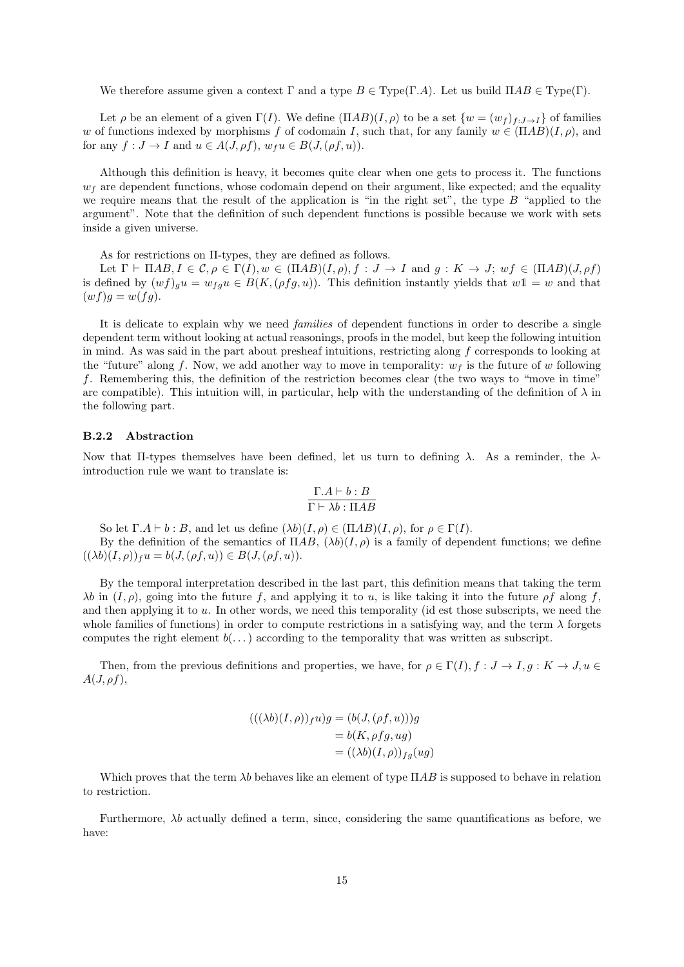We therefore assume given a context  $\Gamma$  and a type  $B \in Type(\Gamma.A)$ . Let us build  $\Pi AB \in Type(\Gamma)$ .

Let  $\rho$  be an element of a given  $\Gamma(I)$ . We define  $(\Pi AB)(I, \rho)$  to be a set  $\{w = (w_f)_{f:J\to I}\}\$  of families w of functions indexed by morphisms f of codomain I, such that, for any family  $w \in (\Pi AB)(I, \rho)$ , and for any  $f: J \to I$  and  $u \in A(J, \rho f), w_f u \in B(J, (\rho f, u)).$ 

Although this definition is heavy, it becomes quite clear when one gets to process it. The functions  $w<sub>f</sub>$  are dependent functions, whose codomain depend on their argument, like expected; and the equality we require means that the result of the application is "in the right set", the type  $B$  "applied to the argument". Note that the definition of such dependent functions is possible because we work with sets inside a given universe.

As for restrictions on Π-types, they are defined as follows.

Let  $\Gamma \vdash \Pi AB, I \in \mathcal{C}, \rho \in \Gamma(I), w \in (\Pi AB)(I, \rho), f : J \to I$  and  $g : K \to J; w f \in (\Pi AB)(J, \rho f)$ is defined by  $(wf)_{g}u = w_{fg}u \in B(K, (\rho fg, u))$ . This definition instantly yields that  $w1 = w$  and that  $(wf)g=w(fg).$ 

It is delicate to explain why we need families of dependent functions in order to describe a single dependent term without looking at actual reasonings, proofs in the model, but keep the following intuition in mind. As was said in the part about presheaf intuitions, restricting along f corresponds to looking at the "future" along f. Now, we add another way to move in temporality:  $w_f$  is the future of w following f. Remembering this, the definition of the restriction becomes clear (the two ways to "move in time" are compatible). This intuition will, in particular, help with the understanding of the definition of  $\lambda$  in the following part.

#### <span id="page-14-0"></span>B.2.2 Abstraction

Now that II-types themselves have been defined, let us turn to defining  $\lambda$ . As a reminder, the  $\lambda$ introduction rule we want to translate is:

$$
\frac{\Gamma.A \vdash b:B}{\Gamma \vdash \lambda b : \Pi AB}
$$

So let  $\Gamma.A \vdash b : B$ , and let us define  $(\lambda b)(I, \rho) \in (\Pi AB)(I, \rho)$ , for  $\rho \in \Gamma(I)$ .

By the definition of the semantics of  $\Pi AB$ ,  $(\lambda b)(I, \rho)$  is a family of dependent functions; we define  $((\lambda b)(I, \rho))_f u = b(J, (\rho f, u)) \in B(J, (\rho f, u)).$ 

By the temporal interpretation described in the last part, this definition means that taking the term  $\lambda b$  in  $(I, \rho)$ , going into the future f, and applying it to u, is like taking it into the future  $\rho f$  along f, and then applying it to  $u$ . In other words, we need this temporality (id est those subscripts, we need the whole families of functions) in order to compute restrictions in a satisfying way, and the term  $\lambda$  forgets computes the right element  $b(\ldots)$  according to the temporality that was written as subscript.

Then, from the previous definitions and properties, we have, for  $\rho \in \Gamma(I)$ ,  $f : J \to I$ ,  $g : K \to J$ ,  $u \in$  $A(J, \rho f),$ 

$$
(((\lambda b)(I, \rho))_f u)g = (b(J, (\rho f, u)))g
$$
  
= b(K, \rho fg, ug)  
= ((\lambda b)(I, \rho))\_{fg}(ug)

Which proves that the term  $\lambda b$  behaves like an element of type  $\Pi AB$  is supposed to behave in relation to restriction.

Furthermore,  $\lambda b$  actually defined a term, since, considering the same quantifications as before, we have: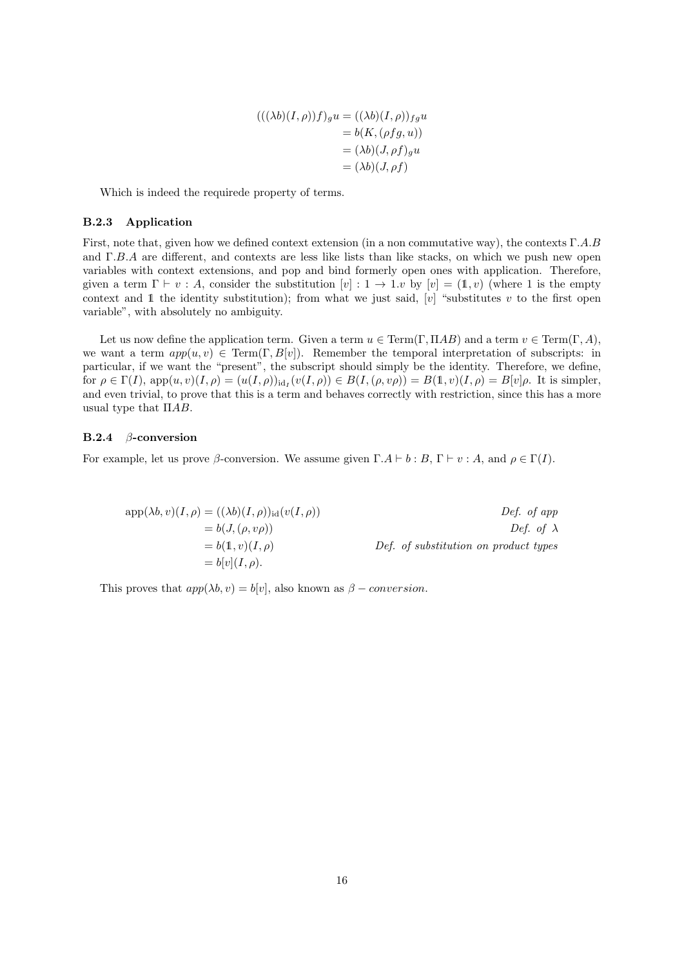$$
(((\lambda b)(I,\rho))f)_g u = ((\lambda b)(I,\rho))_{fg} u
$$
  
=  $b(K, (\rho fg, u))$   
=  $(\lambda b)(J, \rho f)_g u$   
=  $(\lambda b)(J, \rho f)$ 

Which is indeed the requirede property of terms.

#### <span id="page-15-0"></span>B.2.3 Application

First, note that, given how we defined context extension (in a non commutative way), the contexts Γ.A.B and Γ.B.A are different, and contexts are less like lists than like stacks, on which we push new open variables with context extensions, and pop and bind formerly open ones with application. Therefore, given a term  $\Gamma \vdash v : A$ , consider the substitution  $[v] : 1 \to 1 \text{.} v$  by  $[v] = (1, v)$  (where 1 is the empty context and 1 the identity substitution); from what we just said,  $[v]$  "substitutes v to the first open variable", with absolutely no ambiguity.

Let us now define the application term. Given a term  $u \in \text{Term}(\Gamma, \Pi AB)$  and a term  $v \in \text{Term}(\Gamma, A)$ , we want a term  $app(u, v) \in Term(\Gamma, B[v])$ . Remember the temporal interpretation of subscripts: in particular, if we want the "present", the subscript should simply be the identity. Therefore, we define, for  $\rho \in \Gamma(I)$ ,  $app(u, v)(I, \rho) = (u(I, \rho))_{\text{id}_I}(v(I, \rho)) \in B(I, (\rho, v\rho)) = B(1, v)(I, \rho) = B[v]\rho$ . It is simpler, and even trivial, to prove that this is a term and behaves correctly with restriction, since this has a more usual type that  $\Pi AB$ .

#### <span id="page-15-1"></span>B.2.4 β-conversion

For example, let us prove  $\beta$ -conversion. We assume given  $\Gamma.A \vdash b : B, \Gamma \vdash v : A$ , and  $\rho \in \Gamma(I)$ .

$$
app(\lambda b, v)(I, \rho) = ((\lambda b)(I, \rho))_{id}(v(I, \rho))
$$
  
\n
$$
= b(J, (\rho, v\rho))
$$
  
\n
$$
= b(1, v)(I, \rho)
$$
  
\n
$$
= b[v](I, \rho).
$$
  
\nDef. of substitution on product types  
\n
$$
= b[v](I, \rho).
$$

This proves that  $app(\lambda b, v) = b[v]$ , also known as  $\beta$  – *conversion*.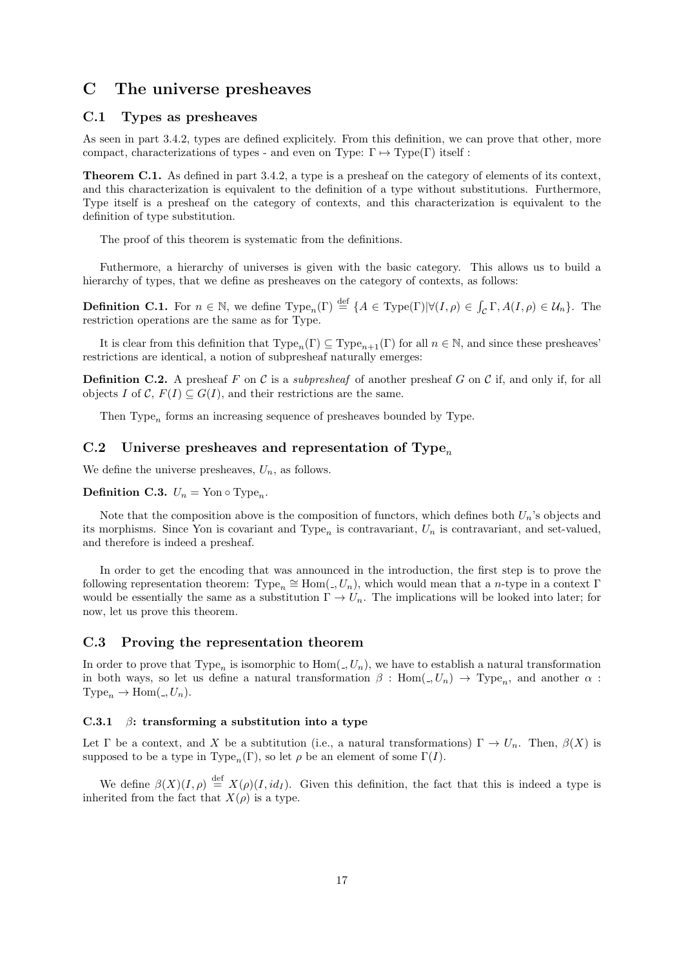# <span id="page-16-0"></span>C The universe presheaves

### <span id="page-16-1"></span>C.1 Types as presheaves

As seen in part 3.4.2, types are defined explicitely. From this definition, we can prove that other, more compact, characterizations of types - and even on Type:  $\Gamma \mapsto \mathrm{Type}(\Gamma)$  itself :

Theorem C.1. As defined in part 3.4.2, a type is a presheaf on the category of elements of its context, and this characterization is equivalent to the definition of a type without substitutions. Furthermore, Type itself is a presheaf on the category of contexts, and this characterization is equivalent to the definition of type substitution.

The proof of this theorem is systematic from the definitions.

Futhermore, a hierarchy of universes is given with the basic category. This allows us to build a hierarchy of types, that we define as presheaves on the category of contexts, as follows:

**Definition C.1.** For  $n \in \mathbb{N}$ , we define  $Type_n(\Gamma) \stackrel{\text{def}}{=} \{A \in Type(\Gamma) | \forall (I, \rho) \in \int_{\mathcal{C}} \Gamma, A(I, \rho) \in \mathcal{U}_n \}$ . The restriction operations are the same as for Type.

It is clear from this definition that  $Type_n(\Gamma) \subseteq Type_{n+1}(\Gamma)$  for all  $n \in \mathbb{N}$ , and since these presheaves' restrictions are identical, a notion of subpresheaf naturally emerges:

**Definition C.2.** A presheaf F on C is a *subpresheaf* of another presheaf G on C if, and only if, for all objects I of C,  $F(I) \subseteq G(I)$ , and their restrictions are the same.

Then Type<sub>n</sub> forms an increasing sequence of presheaves bounded by Type.

# <span id="page-16-2"></span>C.2 Universe presheaves and representation of Type<sub>n</sub>

We define the universe presheaves,  $U_n$ , as follows.

**Definition C.3.**  $U_n = \text{Yon} \circ \text{Type}_n$ .

Note that the composition above is the composition of functors, which defines both  $U_n$ 's objects and its morphisms. Since Yon is covariant and Type<sub>n</sub> is contravariant,  $U_n$  is contravariant, and set-valued, and therefore is indeed a presheaf.

In order to get the encoding that was announced in the introduction, the first step is to prove the following representation theorem:  $Type_n \cong Hom(., U_n)$ , which would mean that a n-type in a context Γ would be essentially the same as a substitution  $\Gamma \to U_n$ . The implications will be looked into later; for now, let us prove this theorem.

### <span id="page-16-3"></span>C.3 Proving the representation theorem

In order to prove that Type<sub>n</sub> is isomorphic to  $Hom(\square, U_n)$ , we have to establish a natural transformation in both ways, so let us define a natural transformation  $\beta$ : Hom $(0, U_n) \to \text{Type}_n$ , and another  $\alpha$ :  $Type_n \rightarrow Hom(., U_n).$ 

# <span id="page-16-4"></span>C.3.1  $\beta$ : transforming a substitution into a type

Let  $\Gamma$  be a context, and X be a subtitution (i.e., a natural transformations)  $\Gamma \to U_n$ . Then,  $\beta(X)$  is supposed to be a type in Type<sub>n</sub>(Γ), so let  $\rho$  be an element of some  $\Gamma(I)$ .

We define  $\beta(X)(I,\rho) \stackrel{\text{def}}{=} X(\rho)(I, id_I)$ . Given this definition, the fact that this is indeed a type is inherited from the fact that  $X(\rho)$  is a type.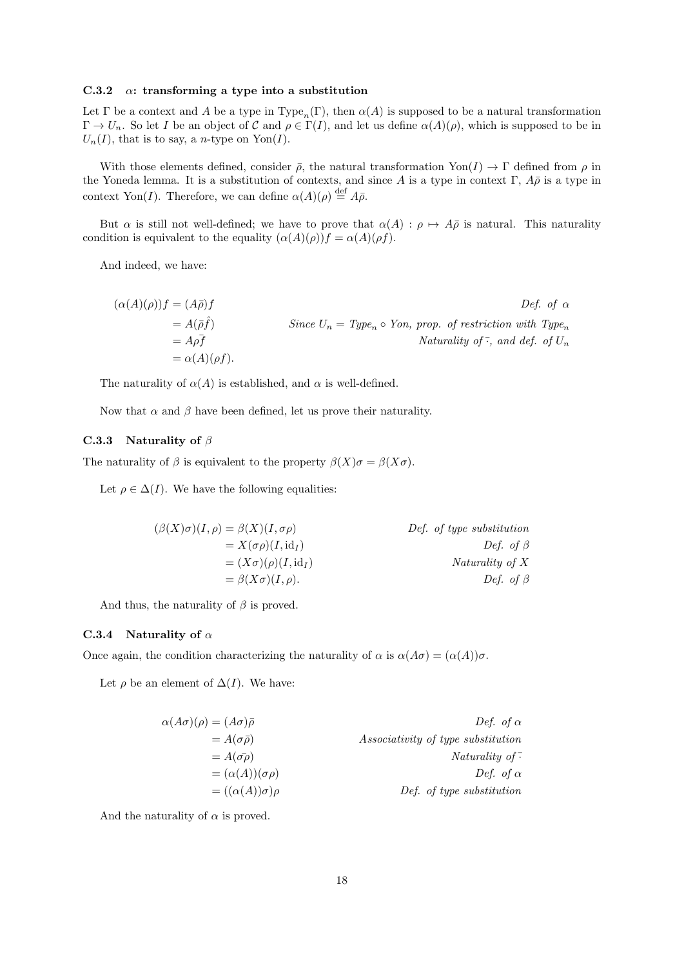#### <span id="page-17-0"></span>C.3.2  $\alpha$ : transforming a type into a substitution

Let Γ be a context and A be a type in Type<sub>n</sub>(Γ), then  $\alpha(A)$  is supposed to be a natural transformation  $\Gamma \to U_n$ . So let I be an object of C and  $\rho \in \Gamma(I)$ , and let us define  $\alpha(A)(\rho)$ , which is supposed to be in  $U_n(I)$ , that is to say, a *n*-type on Yon(I).

With those elements defined, consider  $\bar{\rho}$ , the natural transformation Yon(I)  $\to \Gamma$  defined from  $\rho$  in the Yoneda lemma. It is a substitution of contexts, and since A is a type in context Γ,  $A\bar{\rho}$  is a type in context Yon(I). Therefore, we can define  $\alpha(A)(\rho) \stackrel{\text{def}}{=} A\bar{\rho}$ .

But  $\alpha$  is still not well-defined; we have to prove that  $\alpha(A) : \rho \mapsto A\overline{\rho}$  is natural. This naturality condition is equivalent to the equality  $(\alpha(A)(\rho))f = \alpha(A)(\rho f)$ .

And indeed, we have:

$$
(\alpha(A)(\rho))f = (A\bar{\rho})f
$$
  
\n
$$
= A(\bar{\rho}\hat{f})
$$
  
\n
$$
= A\rho\bar{f}
$$
  
\n
$$
= \alpha(A)(\rho f).
$$
  
\nSince  $U_n = Type_n \circ Yon$ , prop. of restriction with Type<sub>n</sub>  
\n
$$
Naturally of  $\bar{\cdot}$ , and def. of  $U_n$   
\n
$$
= \alpha(A)(\rho f).
$$
$$

The naturality of  $\alpha(A)$  is established, and  $\alpha$  is well-defined.

Now that  $\alpha$  and  $\beta$  have been defined, let us prove their naturality.

#### <span id="page-17-1"></span>C.3.3 Naturality of  $\beta$

The naturality of  $\beta$  is equivalent to the property  $\beta(X)\sigma = \beta(X\sigma)$ .

Let  $\rho \in \Delta(I)$ . We have the following equalities:

$$
(\beta(X)\sigma)(I,\rho) = \beta(X)(I,\sigma\rho)
$$
  
\n
$$
= X(\sigma\rho)(I,\mathrm{id}_I)
$$
  
\n
$$
= (X\sigma)(\rho)(I,\mathrm{id}_I)
$$
  
\n
$$
= \beta(X\sigma)(I,\rho).
$$
  
\nDef. of type substitution  
\n
$$
\text{Def. of type substitution}
$$
  
\n
$$
\text{Def. of type substitution}
$$
  
\n
$$
\text{Def. of } \beta
$$
  
\n
$$
\text{Def. of } \beta
$$

And thus, the naturality of  $\beta$  is proved.

#### <span id="page-17-2"></span>C.3.4 Naturality of  $\alpha$

Once again, the condition characterizing the naturality of  $\alpha$  is  $\alpha(A\sigma) = (\alpha(A))\sigma$ .

Let  $\rho$  be an element of  $\Delta(I)$ . We have:

| Def. of $\alpha$                          | $\alpha(A\sigma)(\rho)=(A\sigma)\bar{\rho}$ |
|-------------------------------------------|---------------------------------------------|
| <i>Associativity of type substitution</i> | $= A(\sigma \bar{\rho})$                    |
| Naturality of $\overline{\cdot}$          | $= A(\bar{\sigma\rho})$                     |
| Def. of $\alpha$                          | $= (\alpha(A))(\sigma\rho)$                 |
| Def. of type substitution                 | $= ((\alpha(A))\sigma)\rho$                 |

And the naturality of  $\alpha$  is proved.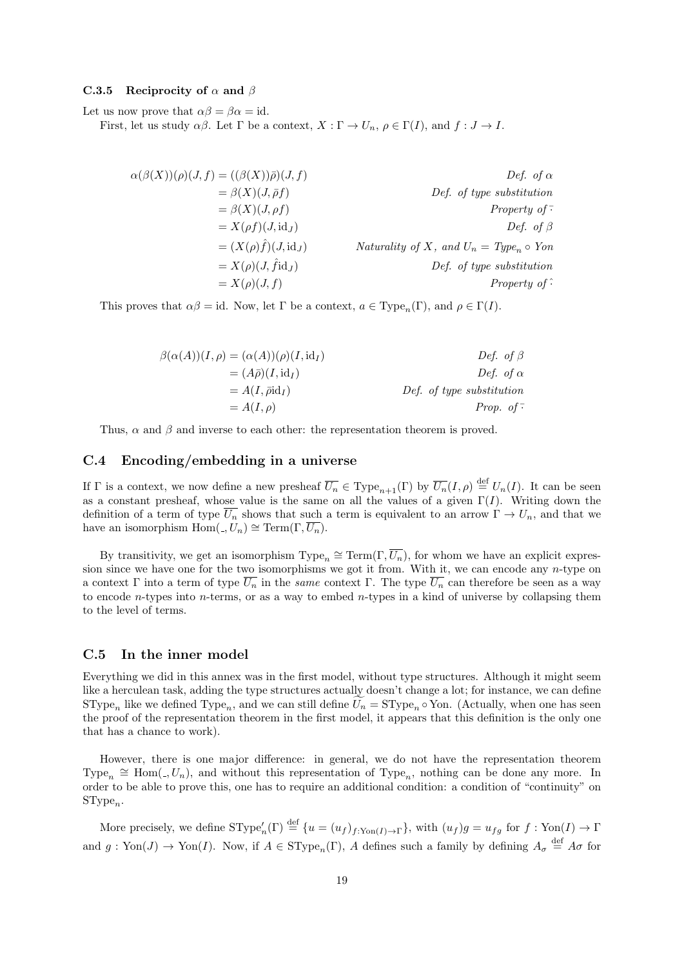#### <span id="page-18-0"></span>C.3.5 Reciprocity of  $\alpha$  and  $\beta$

Let us now prove that  $\alpha\beta = \beta\alpha = id$ .

First, let us study  $\alpha\beta$ . Let  $\Gamma$  be a context,  $X : \Gamma \to U_n$ ,  $\rho \in \Gamma(I)$ , and  $f : J \to I$ .

$$
\alpha(\beta(X))(\rho)(J, f) = ((\beta(X))\bar{\rho})(J, f)
$$
  
\n
$$
= \beta(X)(J, \bar{\rho}f)
$$
  
\n
$$
= \beta(X)(J, \rho f)
$$
  
\n
$$
= X(\rho f)(J, id_J)
$$
  
\n
$$
= (X(\rho)\hat{f})(J, id_J)
$$
  
\n
$$
= X(\rho)(J, \hat{f}id_J)
$$
  
\n
$$
= X(\rho)(J, f)
$$
  
\n
$$
= X(\rho)(J, f)
$$
  
\n
$$
= X(\rho)(J, f)
$$
  
\n
$$
= X(\rho)(J, f)
$$
  
\n
$$
= X(\rho) \text{ for all } \rho \in \mathbb{Z}
$$
  
\n
$$
= X(\rho) \text{ for all } \rho \in \mathbb{Z}
$$
  
\n
$$
= X(\rho) \text{ for all } \rho \in \mathbb{Z}
$$
  
\n
$$
= X(\rho) \text{ for all } \rho \in \mathbb{Z}
$$
  
\n
$$
= X(\rho) \text{ for all } \rho \in \mathbb{Z}
$$
  
\n
$$
= X(\rho) \text{ for all } \rho \in \mathbb{Z}
$$
  
\n
$$
= X(\rho) \text{ for all } \rho \in \mathbb{Z}
$$
  
\n
$$
= X(\rho) \text{ for all } \rho \in \mathbb{Z}
$$
  
\n
$$
= X(\rho) \text{ for all } \rho \in \mathbb{Z}
$$
  
\n
$$
= X(\rho) \text{ for all } \rho \in \mathbb{Z}
$$
  
\n
$$
= X(\rho) \text{ for all } \rho \in \mathbb{Z}
$$
  
\n
$$
= X(\rho) \text{ for all } \rho \in \mathbb{Z}
$$
  
\n
$$
= X(\rho) \text{ for all } \rho \in \mathbb{Z}
$$
  
\n
$$
= X(\rho) \text{ for all } \rho \in \mathbb{Z}
$$
  
\n
$$
= X(\rho) \text{ for all } \rho \in \mathbb{Z}
$$
  
\n
$$
= X(\rho) \text{ for all } \rho \in \mathbb{Z}
$$
  
\n
$$
= X(\rho) \text{
$$

This proves that  $\alpha\beta = id$ . Now, let  $\Gamma$  be a context,  $a \in Type_n(\Gamma)$ , and  $\rho \in \Gamma(I)$ .

$$
\beta(\alpha(A))(I, \rho) = (\alpha(A))(\rho)(I, id_I)
$$
  
\n
$$
= (A\bar{\rho})(I, id_I)
$$
  
\n
$$
= A(I, \bar{\rho}id_I)
$$
  
\n
$$
= A(I, \rho)
$$
  
\n
$$
Def. of type substitution\nDef. of type substitution\nProp. of-
$$

Thus,  $\alpha$  and  $\beta$  and inverse to each other: the representation theorem is proved.

### <span id="page-18-1"></span>C.4 Encoding/embedding in a universe

If  $\Gamma$  is a context, we now define a new presheaf  $\overline{U_n} \in \mathrm{Type}_{n+1}(\Gamma)$  by  $\overline{U_n}(I,\rho) \stackrel{\text{def}}{=} U_n(I)$ . It can be seen as a constant presheaf, whose value is the same on all the values of a given  $\Gamma(I)$ . Writing down the definition of a term of type  $\overline{U_n}$  shows that such a term is equivalent to an arrow  $\Gamma \to U_n$ , and that we have an isomorphism  $\text{Hom}(. , U_n) \cong \text{Term}(\Gamma, \overline{U_n}).$ 

By transitivity, we get an isomorphism  $Type_n \cong Term(\Gamma, \overline{U_n})$ , for whom we have an explicit expression since we have one for the two isomorphisms we got it from. With it, we can encode any *n*-type on a context Γ into a term of type  $\overline{U_n}$  in the same context Γ. The type  $\overline{U_n}$  can therefore be seen as a way to encode *n*-types into *n*-terms, or as a way to embed *n*-types in a kind of universe by collapsing them to the level of terms.

## <span id="page-18-2"></span>C.5 In the inner model

Everything we did in this annex was in the first model, without type structures. Although it might seem like a herculean task, adding the type structures actually doesn't change a lot; for instance, we can define SType<sub>n</sub> like we defined Type<sub>n</sub>, and we can still define  $U_n = \text{SType}_n \circ \text{Yon}$ . (Actually, when one has seen the proof of the representation theorem in the first model, it appears that this definition is the only one that has a chance to work).

However, there is one major difference: in general, we do not have the representation theorem Type<sub>n</sub>  $\cong$  Hom(-,  $U_n$ ), and without this representation of Type<sub>n</sub>, nothing can be done any more. In order to be able to prove this, one has to require an additional condition: a condition of "continuity" on  $SType_n$ .

More precisely, we define  $SType'_n(\Gamma) \stackrel{\text{def}}{=} \{u = (u_f)_{f: \text{Yon}(I) \to \Gamma}\}\$ , with  $(u_f)g = u_{fg}$  for  $f: \text{Yon}(I) \to \Gamma$ and  $g: \text{Yon}(J) \to \text{Yon}(I)$ . Now, if  $A \in \text{SType}_n(\Gamma)$ , A defines such a family by defining  $A_{\sigma} \stackrel{\text{def}}{=} A_{\sigma}$  for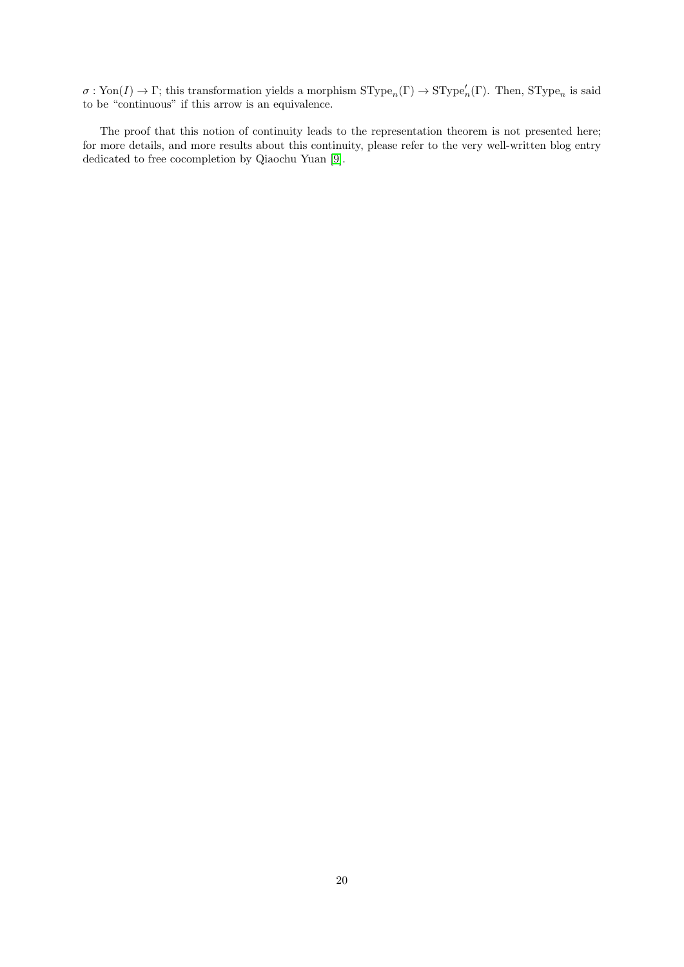$\sigma: \text{Yon}(I) \to \Gamma$ ; this transformation yields a morphism  $\text{SType}_n(\Gamma) \to \text{SType}_n'(\Gamma)$ . Then,  $\text{SType}_n$  is said to be "continuous" if this arrow is an equivalence.

The proof that this notion of continuity leads to the representation theorem is not presented here; for more details, and more results about this continuity, please refer to the very well-written blog entry dedicated to free cocompletion by Qiaochu Yuan [\[9\]](#page-20-8).